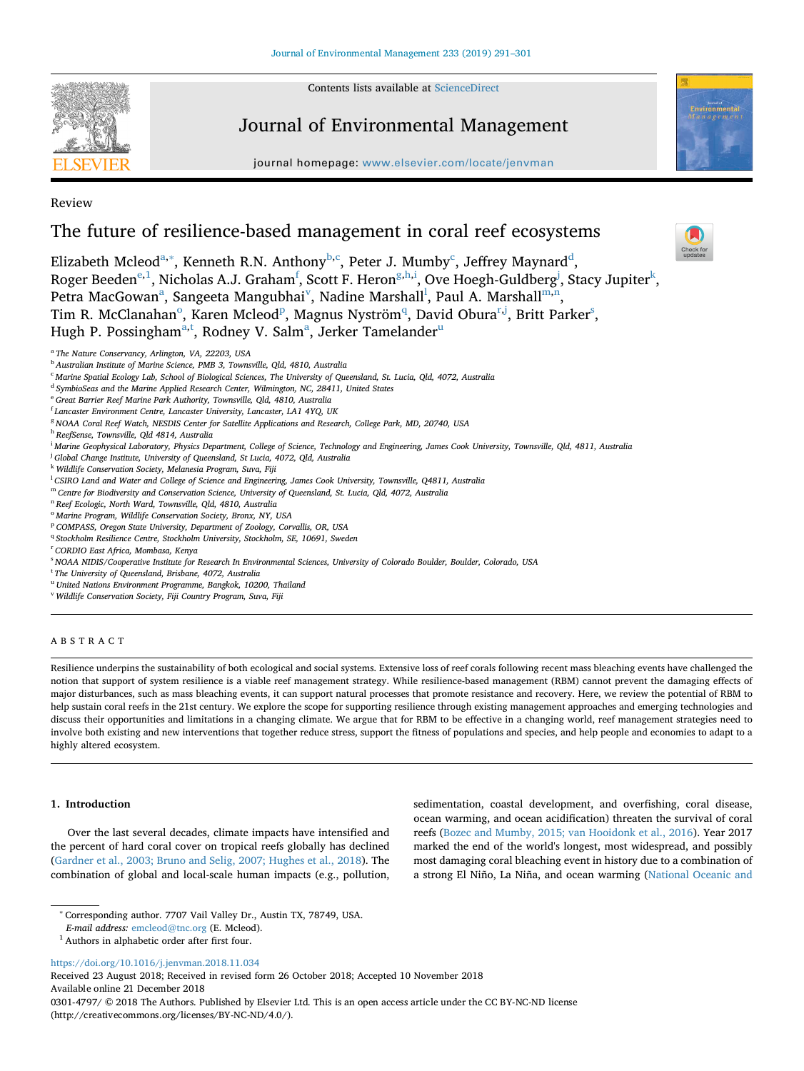Contents lists available at [ScienceDirect](http://www.sciencedirect.com/science/journal/03014797)



# Journal of Environmental Management

journal homepage: [www.elsevier.com/locate/jenvman](https://www.elsevier.com/locate/jenvman)



 $\sum_{\text{the}}$ 

Review

# The future of resilience-based management in coral reef ecosystems

Elizabeth Mcleod<sup>[a,](#page-0-0)[∗](#page-0-1)</sup>, Kenneth R.N. Anthony<sup>[b](#page-0-2)[,c](#page-0-3)</sup>, Peter J. Mumby<sup>[c](#page-0-3)</sup>, Jeffrey Maynard<sup>d</sup>, Roger Beeden<sup>[e,](#page-0-5)[1](#page-0-6)</sup>, Nicholas A.J. Graham<sup>[f](#page-0-7)</sup>, Scott F. Heron<sup>[g,](#page-0-8)[h](#page-0-9),[i](#page-0-10)</sup>, Ove Hoegh-Guldberg<sup>[j](#page-0-11)</sup>, Stacy Jupiter<sup>[k](#page-0-12)</sup>, Petr[a](#page-0-0) MacGowan<sup>a</sup>, Sangeeta Mangubhai<sup>[v](#page-0-13)</sup>, Nadine Marsha[l](#page-0-14)l<sup>l</sup>, Paul A. Marshall<sup>[m](#page-0-15),[n](#page-0-16)</sup>, Tim R. McClanahan $^{\rm o}$  $^{\rm o}$  $^{\rm o}$ , Karen Mcleod $^{\rm p}$  $^{\rm p}$  $^{\rm p}$ , Magnu[s](#page-0-21) Nyström $^{\rm q}$  $^{\rm q}$  $^{\rm q}$ , David Obura $^{\rm r,j}$  $^{\rm r,j}$  $^{\rm r,j}$  $^{\rm r,j}$ , Britt Parker $^{\rm s}$ ,

Hugh P. Possingham<sup>[a,](#page-0-0)[t](#page-0-22)</sup>, Rodney V. S[a](#page-0-0)lm<s[u](#page-0-23)p>a</sup>, Jerker Tamelander<sup>u</sup>

<span id="page-0-0"></span><sup>a</sup> *The Nature Conservancy, Arlington, VA, 22203, USA*

<span id="page-0-3"></span><sup>c</sup> *Marine Spatial Ecology Lab, School of Biological Sciences, The University of Queensland, St. Lucia, Qld, 4072, Australia*

<span id="page-0-4"></span><sup>d</sup> *SymbioSeas and the Marine Applied Research Center, Wilmington, NC, 28411, United States*

<span id="page-0-5"></span><sup>e</sup> *Great Barrier Reef Marine Park Authority, Townsville, Qld, 4810, Australia*

<span id="page-0-8"></span><sup>g</sup> *NOAA Coral Reef Watch, NESDIS Center for Satellite Applications and Research, College Park, MD, 20740, USA*

<span id="page-0-9"></span><sup>h</sup> *ReefSense, Townsville, Qld 4814, Australia*

<span id="page-0-10"></span>i *Marine Geophysical Laboratory, Physics Department, College of Science, Technology and Engineering, James Cook University, Townsville, Qld, 4811, Australia*

<span id="page-0-11"></span>j *Global Change Institute, University of Queensland, St Lucia, 4072, Qld, Australia*

<span id="page-0-12"></span><sup>k</sup> *Wildlife Conservation Society, Melanesia Program, Suva, Fiji*

<span id="page-0-14"></span>l *CSIRO Land and Water and College of Science and Engineering, James Cook University, Townsville, Q4811, Australia*

<span id="page-0-15"></span><sup>m</sup> *Centre for Biodiversity and Conservation Science, University of Queensland, St. Lucia, Qld, 4072, Australia*

<span id="page-0-16"></span><sup>n</sup> *Reef Ecologic, North Ward, Townsville, Qld, 4810, Australia*

<span id="page-0-17"></span><sup>o</sup> *Marine Program, Wildlife Conservation Society, Bronx, NY, USA*

<span id="page-0-19"></span><sup>q</sup> Stockholm Resilience Centre, Stockholm University, Stockholm, SE, 10691, Sweden

<span id="page-0-20"></span>r *CORDIO East Africa, Mombasa, Kenya*

<span id="page-0-21"></span>s *NOAA NIDIS/Cooperative Institute for Research In Environmental Sciences, University of Colorado Boulder, Boulder, Colorado, USA*

<span id="page-0-22"></span>t *The University of Queensland, Brisbane, 4072, Australia*

<span id="page-0-23"></span><sup>u</sup> *United Nations Environment Programme, Bangkok, 10200, Thailand*

<span id="page-0-13"></span><sup>v</sup> *Wildlife Conservation Society, Fiji Country Program, Suva, Fiji*

#### ABSTRACT

Resilience underpins the sustainability of both ecological and social systems. Extensive loss of reef corals following recent mass bleaching events have challenged the notion that support of system resilience is a viable reef management strategy. While resilience-based management (RBM) cannot prevent the damaging effects of major disturbances, such as mass bleaching events, it can support natural processes that promote resistance and recovery. Here, we review the potential of RBM to help sustain coral reefs in the 21st century. We explore the scope for supporting resilience through existing management approaches and emerging technologies and discuss their opportunities and limitations in a changing climate. We argue that for RBM to be effective in a changing world, reef management strategies need to involve both existing and new interventions that together reduce stress, support the fitness of populations and species, and help people and economies to adapt to a highly altered ecosystem.

## **1. Introduction**

Over the last several decades, climate impacts have intensified and the percent of hard coral cover on tropical reefs globally has declined ([Gardner et al., 2003; Bruno and Selig, 2007; Hughes et al., 2018\)](#page-8-0). The combination of global and local-scale human impacts (e.g., pollution, sedimentation, coastal development, and overfishing, coral disease, ocean warming, and ocean acidification) threaten the survival of coral reefs ([Bozec and Mumby, 2015; van Hooidonk et al., 2016\)](#page-8-1). Year 2017 marked the end of the world's longest, most widespread, and possibly most damaging coral bleaching event in history due to a combination of a strong El Niño, La Niña, and ocean warming [\(National Oceanic and](#page-9-0)

<https://doi.org/10.1016/j.jenvman.2018.11.034>

Received 23 August 2018; Received in revised form 26 October 2018; Accepted 10 November 2018 Available online 21 December 2018

0301-4797/ © 2018 The Authors. Published by Elsevier Ltd. This is an open access article under the CC BY-NC-ND license (http://creativecommons.org/licenses/BY-NC-ND/4.0/).

<span id="page-0-2"></span><sup>b</sup> *Australian Institute of Marine Science, PMB 3, Townsville, Qld, 4810, Australia*

<span id="page-0-7"></span>f *Lancaster Environment Centre, Lancaster University, Lancaster, LA1 4YQ, UK*

<span id="page-0-18"></span><sup>p</sup> *COMPASS, Oregon State University, Department of Zoology, Corvallis, OR, USA*

<span id="page-0-1"></span><sup>∗</sup> Corresponding author. 7707 Vail Valley Dr., Austin TX, 78749, USA.

*E-mail address:* [emcleod@tnc.org](mailto:emcleod@tnc.org) (E. Mcleod).

<span id="page-0-6"></span> $^{\rm 1}$  Authors in alphabetic order after first four.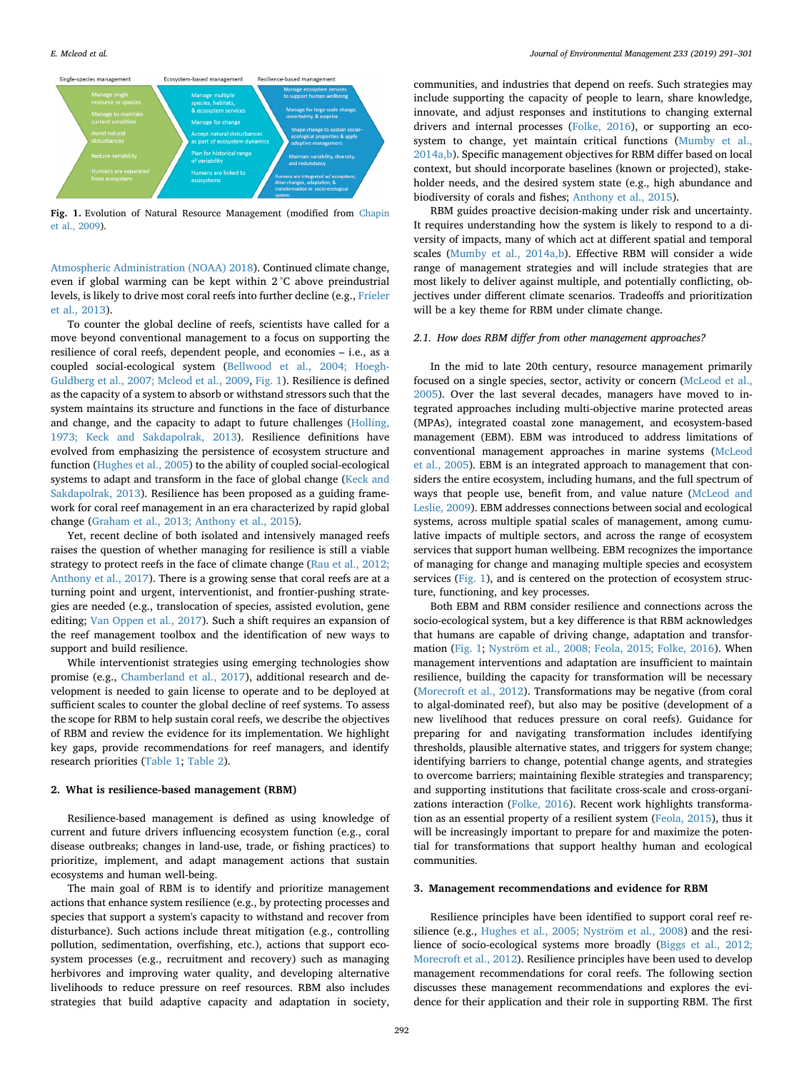<span id="page-1-0"></span>

Fig. 1. Evolution of Natural Resource Management (modified from [Chapin](#page-8-9) [et al., 2009](#page-8-9)).

[Atmospheric Administration \(NOAA\) 2018\)](#page-9-0). Continued climate change, even if global warming can be kept within 2 °C above preindustrial levels, is likely to drive most coral reefs into further decline (e.g., [Frieler](#page-8-2) [et al., 2013](#page-8-2)).

To counter the global decline of reefs, scientists have called for a move beyond conventional management to a focus on supporting the resilience of coral reefs, dependent people, and economies – i.e., as a coupled social-ecological system [\(Bellwood et al., 2004; Hoegh-](#page-8-3)[Guldberg et al., 2007; Mcleod et al., 2009,](#page-8-3) [Fig. 1](#page-1-0)). Resilience is defined as the capacity of a system to absorb or withstand stressors such that the system maintains its structure and functions in the face of disturbance and change, and the capacity to adapt to future challenges [\(Holling,](#page-9-1) [1973; Keck and Sakdapolrak, 2013\)](#page-9-1). Resilience definitions have evolved from emphasizing the persistence of ecosystem structure and function ([Hughes et al., 2005\)](#page-9-2) to the ability of coupled social-ecological systems to adapt and transform in the face of global change [\(Keck and](#page-9-3) [Sakdapolrak, 2013](#page-9-3)). Resilience has been proposed as a guiding framework for coral reef management in an era characterized by rapid global change [\(Graham et al., 2013; Anthony et al., 2015](#page-9-4)).

Yet, recent decline of both isolated and intensively managed reefs raises the question of whether managing for resilience is still a viable strategy to protect reefs in the face of climate change [\(Rau et al., 2012;](#page-10-0) [Anthony et al., 2017](#page-10-0)). There is a growing sense that coral reefs are at a turning point and urgent, interventionist, and frontier-pushing strategies are needed (e.g., translocation of species, assisted evolution, gene editing; [Van Oppen et al., 2017\)](#page-10-1). Such a shift requires an expansion of the reef management toolbox and the identification of new ways to support and build resilience.

While interventionist strategies using emerging technologies show promise (e.g., [Chamberland et al., 2017\)](#page-8-4), additional research and development is needed to gain license to operate and to be deployed at sufficient scales to counter the global decline of reef systems. To assess the scope for RBM to help sustain coral reefs, we describe the objectives of RBM and review the evidence for its implementation. We highlight key gaps, provide recommendations for reef managers, and identify research priorities ([Table 1](#page-2-0); [Table 2\)](#page-3-0).

#### **2. What is resilience-based management (RBM)**

Resilience-based management is defined as using knowledge of current and future drivers influencing ecosystem function (e.g., coral disease outbreaks; changes in land-use, trade, or fishing practices) to prioritize, implement, and adapt management actions that sustain ecosystems and human well-being.

The main goal of RBM is to identify and prioritize management actions that enhance system resilience (e.g., by protecting processes and species that support a system's capacity to withstand and recover from disturbance). Such actions include threat mitigation (e.g., controlling pollution, sedimentation, overfishing, etc.), actions that support ecosystem processes (e.g., recruitment and recovery) such as managing herbivores and improving water quality, and developing alternative livelihoods to reduce pressure on reef resources. RBM also includes strategies that build adaptive capacity and adaptation in society,

communities, and industries that depend on reefs. Such strategies may include supporting the capacity of people to learn, share knowledge, innovate, and adjust responses and institutions to changing external drivers and internal processes [\(Folke, 2016\)](#page-8-5), or supporting an ecosystem to change, yet maintain critical functions ([Mumby et al.,](#page-9-5) [2014a,b](#page-9-5)). Specific management objectives for RBM differ based on local context, but should incorporate baselines (known or projected), stakeholder needs, and the desired system state (e.g., high abundance and biodiversity of corals and fishes; [Anthony et al., 2015](#page-8-6)).

RBM guides proactive decision-making under risk and uncertainty. It requires understanding how the system is likely to respond to a diversity of impacts, many of which act at different spatial and temporal scales ([Mumby et al., 2014a,b](#page-9-5)). Effective RBM will consider a wide range of management strategies and will include strategies that are most likely to deliver against multiple, and potentially conflicting, objectives under different climate scenarios. Tradeoffs and prioritization will be a key theme for RBM under climate change.

#### *2.1. How does RBM differ from other management approaches?*

In the mid to late 20th century, resource management primarily focused on a single species, sector, activity or concern ([McLeod et al.,](#page-9-6) [2005\)](#page-9-6). Over the last several decades, managers have moved to integrated approaches including multi-objective marine protected areas (MPAs), integrated coastal zone management, and ecosystem-based management (EBM). EBM was introduced to address limitations of conventional management approaches in marine systems [\(McLeod](#page-9-6) [et al., 2005](#page-9-6)). EBM is an integrated approach to management that considers the entire ecosystem, including humans, and the full spectrum of ways that people use, benefit from, and value nature ([McLeod and](#page-9-7) [Leslie, 2009\)](#page-9-7). EBM addresses connections between social and ecological systems, across multiple spatial scales of management, among cumulative impacts of multiple sectors, and across the range of ecosystem services that support human wellbeing. EBM recognizes the importance of managing for change and managing multiple species and ecosystem services ([Fig. 1](#page-1-0)), and is centered on the protection of ecosystem structure, functioning, and key processes.

Both EBM and RBM consider resilience and connections across the socio-ecological system, but a key difference is that RBM acknowledges that humans are capable of driving change, adaptation and transformation [\(Fig. 1](#page-1-0); [Nyström et al., 2008; Feola, 2015; Folke, 2016](#page-9-8)). When management interventions and adaptation are insufficient to maintain resilience, building the capacity for transformation will be necessary ([Morecroft et al., 2012\)](#page-9-9). Transformations may be negative (from coral to algal-dominated reef), but also may be positive (development of a new livelihood that reduces pressure on coral reefs). Guidance for preparing for and navigating transformation includes identifying thresholds, plausible alternative states, and triggers for system change; identifying barriers to change, potential change agents, and strategies to overcome barriers; maintaining flexible strategies and transparency; and supporting institutions that facilitate cross-scale and cross-organizations interaction [\(Folke, 2016\)](#page-8-5). Recent work highlights transformation as an essential property of a resilient system ([Feola, 2015](#page-8-7)), thus it will be increasingly important to prepare for and maximize the potential for transformations that support healthy human and ecological communities.

#### **3. Management recommendations and evidence for RBM**

Resilience principles have been identified to support coral reef resilience (e.g., [Hughes et al., 2005; Nyström et al., 2008](#page-9-2)) and the resilience of socio-ecological systems more broadly [\(Biggs et al., 2012;](#page-8-8) [Morecroft et al., 2012](#page-8-8)). Resilience principles have been used to develop management recommendations for coral reefs. The following section discusses these management recommendations and explores the evidence for their application and their role in supporting RBM. The first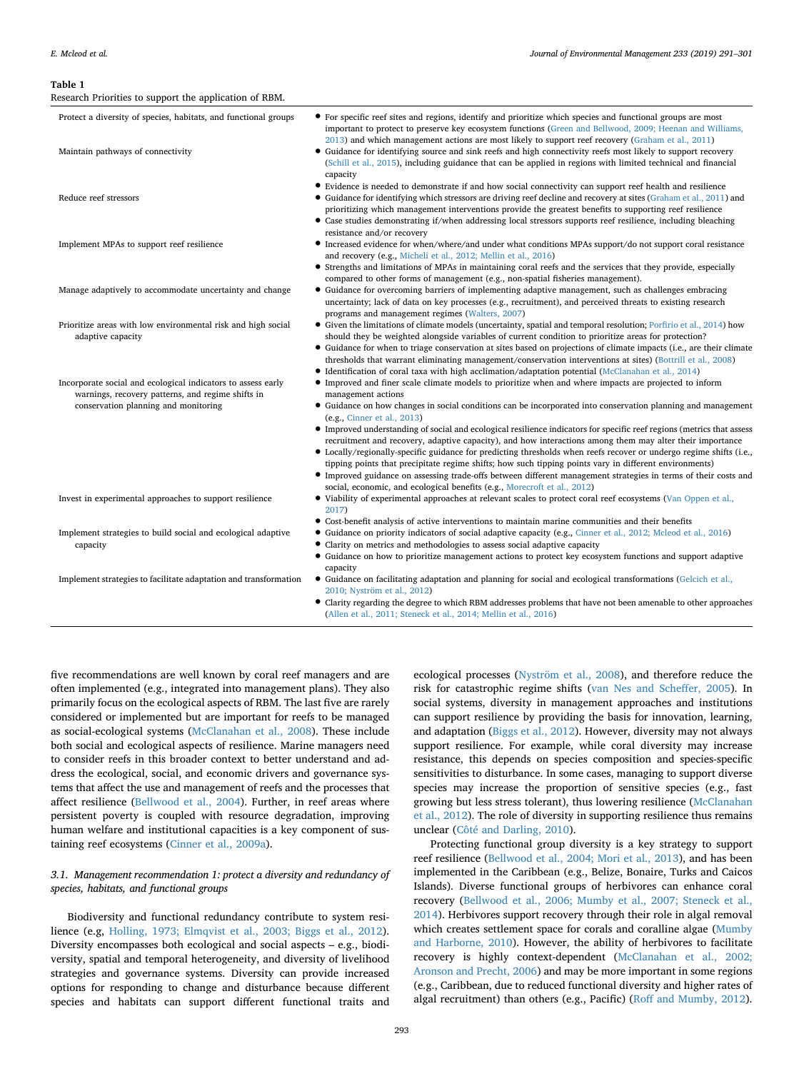#### <span id="page-2-0"></span>**Table 1**

| Research Priorities to support the application of RBM.                                                                                                    |                                                                                                                                                                                                                                                                                                                                                                                                                                                                                                                                                                                                                       |
|-----------------------------------------------------------------------------------------------------------------------------------------------------------|-----------------------------------------------------------------------------------------------------------------------------------------------------------------------------------------------------------------------------------------------------------------------------------------------------------------------------------------------------------------------------------------------------------------------------------------------------------------------------------------------------------------------------------------------------------------------------------------------------------------------|
| Protect a diversity of species, habitats, and functional groups                                                                                           | • For specific reef sites and regions, identify and prioritize which species and functional groups are most<br>important to protect to preserve key ecosystem functions (Green and Bellwood, 2009; Heenan and Williams,<br>2013) and which management actions are most likely to support reef recovery (Graham et al., 2011)                                                                                                                                                                                                                                                                                          |
| Maintain pathways of connectivity                                                                                                                         | • Guidance for identifying source and sink reefs and high connectivity reefs most likely to support recovery<br>(Schill et al., 2015), including guidance that can be applied in regions with limited technical and financial<br>capacity                                                                                                                                                                                                                                                                                                                                                                             |
| Reduce reef stressors                                                                                                                                     | • Evidence is needed to demonstrate if and how social connectivity can support reef health and resilience<br>• Guidance for identifying which stressors are driving reef decline and recovery at sites (Graham et al., 2011) and<br>prioritizing which management interventions provide the greatest benefits to supporting reef resilience<br>• Case studies demonstrating if/when addressing local stressors supports reef resilience, including bleaching<br>resistance and/or recovery                                                                                                                            |
| Implement MPAs to support reef resilience                                                                                                                 | • Increased evidence for when/where/and under what conditions MPAs support/do not support coral resistance<br>and recovery (e.g., Micheli et al., 2012; Mellin et al., 2016)<br>• Strengths and limitations of MPAs in maintaining coral reefs and the services that they provide, especially                                                                                                                                                                                                                                                                                                                         |
|                                                                                                                                                           | compared to other forms of management (e.g., non-spatial fisheries management).                                                                                                                                                                                                                                                                                                                                                                                                                                                                                                                                       |
| Manage adaptively to accommodate uncertainty and change                                                                                                   | • Guidance for overcoming barriers of implementing adaptive management, such as challenges embracing<br>uncertainty; lack of data on key processes (e.g., recruitment), and perceived threats to existing research<br>programs and management regimes (Walters, 2007)                                                                                                                                                                                                                                                                                                                                                 |
| Prioritize areas with low environmental risk and high social<br>adaptive capacity                                                                         | • Given the limitations of climate models (uncertainty, spatial and temporal resolution; Porfirio et al., 2014) how<br>should they be weighted alongside variables of current condition to prioritize areas for protection?<br>• Guidance for when to triage conservation at sites based on projections of climate impacts (i.e., are their climate<br>thresholds that warrant eliminating management/conservation interventions at sites) (Bottrill et al., 2008)<br>• Identification of coral taxa with high acclimation/adaptation potential (McClanahan et al., 2014)                                             |
| Incorporate social and ecological indicators to assess early<br>warnings, recovery patterns, and regime shifts in<br>conservation planning and monitoring | • Improved and finer scale climate models to prioritize when and where impacts are projected to inform<br>management actions<br>• Guidance on how changes in social conditions can be incorporated into conservation planning and management                                                                                                                                                                                                                                                                                                                                                                          |
|                                                                                                                                                           | (e.g., Cinner et al., 2013)<br>• Improved understanding of social and ecological resilience indicators for specific reef regions (metrics that assess<br>recruitment and recovery, adaptive capacity), and how interactions among them may alter their importance<br>• Locally/regionally-specific guidance for predicting thresholds when reefs recover or undergo regime shifts (i.e.,<br>tipping points that precipitate regime shifts; how such tipping points vary in different environments)<br>• Improved guidance on assessing trade-offs between different management strategies in terms of their costs and |
| Invest in experimental approaches to support resilience                                                                                                   | social, economic, and ecological benefits (e.g., Morecroft et al., 2012)<br>• Viability of experimental approaches at relevant scales to protect coral reef ecosystems (Van Oppen et al.,<br>2017)                                                                                                                                                                                                                                                                                                                                                                                                                    |
| Implement strategies to build social and ecological adaptive<br>capacity                                                                                  | • Cost-benefit analysis of active interventions to maintain marine communities and their benefits<br>• Guidance on priority indicators of social adaptive capacity (e.g., Cinner et al., 2012; Mcleod et al., 2016)<br>• Clarity on metrics and methodologies to assess social adaptive capacity<br>• Guidance on how to prioritize management actions to protect key ecosystem functions and support adaptive                                                                                                                                                                                                        |
| Implement strategies to facilitate adaptation and transformation                                                                                          | capacity<br>• Guidance on facilitating adaptation and planning for social and ecological transformations (Gelcich et al.,<br>2010; Nyström et al., 2012)<br>• Clarity regarding the degree to which RBM addresses problems that have not been amenable to other approaches                                                                                                                                                                                                                                                                                                                                            |
|                                                                                                                                                           | (Allen et al., 2011; Steneck et al., 2014; Mellin et al., 2016)                                                                                                                                                                                                                                                                                                                                                                                                                                                                                                                                                       |

five recommendations are well known by coral reef managers and are often implemented (e.g., integrated into management plans). They also primarily focus on the ecological aspects of RBM. The last five are rarely considered or implemented but are important for reefs to be managed as social-ecological systems [\(McClanahan et al., 2008\)](#page-9-10). These include both social and ecological aspects of resilience. Marine managers need to consider reefs in this broader context to better understand and address the ecological, social, and economic drivers and governance systems that affect the use and management of reefs and the processes that affect resilience [\(Bellwood et al., 2004](#page-8-3)). Further, in reef areas where persistent poverty is coupled with resource degradation, improving human welfare and institutional capacities is a key component of sustaining reef ecosystems [\(Cinner et al., 2009a\)](#page-8-10).

# *3.1. Management recommendation 1: protect a diversity and redundancy of species, habitats, and functional groups*

Biodiversity and functional redundancy contribute to system resilience (e.g, [Holling, 1973; Elmqvist et al., 2003; Biggs et al., 2012](#page-9-1)). Diversity encompasses both ecological and social aspects – e.g., biodiversity, spatial and temporal heterogeneity, and diversity of livelihood strategies and governance systems. Diversity can provide increased options for responding to change and disturbance because different species and habitats can support different functional traits and

ecological processes [\(Nyström et al., 2008](#page-9-8)), and therefore reduce the risk for catastrophic regime shifts [\(van Nes and Scheffer, 2005](#page-10-2)). In social systems, diversity in management approaches and institutions can support resilience by providing the basis for innovation, learning, and adaptation ([Biggs et al., 2012\)](#page-8-8). However, diversity may not always support resilience. For example, while coral diversity may increase resistance, this depends on species composition and species-specific sensitivities to disturbance. In some cases, managing to support diverse species may increase the proportion of sensitive species (e.g., fast growing but less stress tolerant), thus lowering resilience ([McClanahan](#page-9-11) [et al., 2012\)](#page-9-11). The role of diversity in supporting resilience thus remains unclear [\(Côté and Darling, 2010\)](#page-8-11).

Protecting functional group diversity is a key strategy to support reef resilience ([Bellwood et al., 2004; Mori et al., 2013\)](#page-8-3), and has been implemented in the Caribbean (e.g., Belize, Bonaire, Turks and Caicos Islands). Diverse functional groups of herbivores can enhance coral recovery ([Bellwood et al., 2006; Mumby et al., 2007; Steneck et al.,](#page-8-12) [2014\)](#page-8-12). Herbivores support recovery through their role in algal removal which creates settlement space for corals and coralline algae ([Mumby](#page-9-12) [and Harborne, 2010\)](#page-9-12). However, the ability of herbivores to facilitate recovery is highly context-dependent ([McClanahan et al., 2002;](#page-9-13) [Aronson and Precht, 2006\)](#page-9-13) and may be more important in some regions (e.g., Caribbean, due to reduced functional diversity and higher rates of algal recruitment) than others (e.g., Pacific) [\(Roff and Mumby, 2012](#page-10-3)).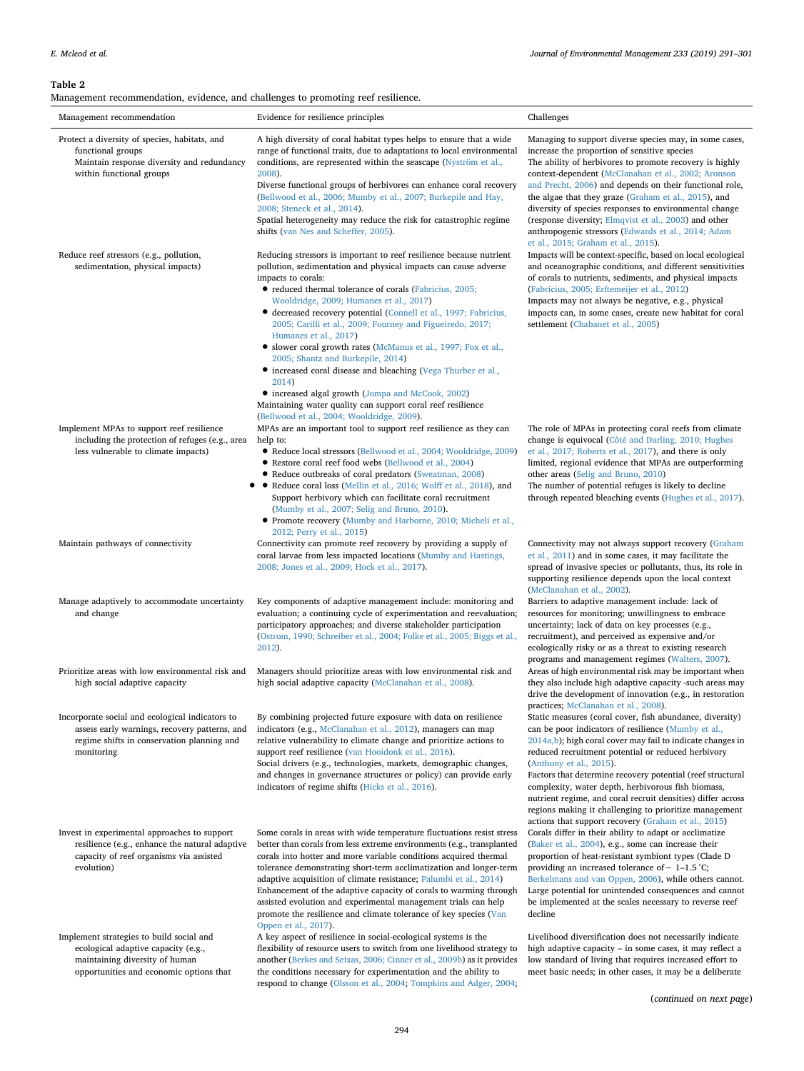## <span id="page-3-0"></span>**Table 2**

Management recommendation, evidence, and challenges to promoting reef resilience.

| Management recommendation                                                                                                                                    | Evidence for resilience principles                                                                                                                                                                                                                                                                                                                                                                                                                                                                                                                                                                                                                                                                                                                                              | Challenges                                                                                                                                                                                                                                                                                                                                                                                                                                                                                                                                                         |
|--------------------------------------------------------------------------------------------------------------------------------------------------------------|---------------------------------------------------------------------------------------------------------------------------------------------------------------------------------------------------------------------------------------------------------------------------------------------------------------------------------------------------------------------------------------------------------------------------------------------------------------------------------------------------------------------------------------------------------------------------------------------------------------------------------------------------------------------------------------------------------------------------------------------------------------------------------|--------------------------------------------------------------------------------------------------------------------------------------------------------------------------------------------------------------------------------------------------------------------------------------------------------------------------------------------------------------------------------------------------------------------------------------------------------------------------------------------------------------------------------------------------------------------|
| Protect a diversity of species, habitats, and<br>functional groups<br>Maintain response diversity and redundancy<br>within functional groups                 | A high diversity of coral habitat types helps to ensure that a wide<br>range of functional traits, due to adaptations to local environmental<br>conditions, are represented within the seascape (Nyström et al.,<br>2008).<br>Diverse functional groups of herbivores can enhance coral recovery<br>(Bellwood et al., 2006; Mumby et al., 2007; Burkepile and Hay,<br>2008; Steneck et al., 2014).<br>Spatial heterogeneity may reduce the risk for catastrophic regime<br>shifts (van Nes and Scheffer, 2005).                                                                                                                                                                                                                                                                 | Managing to support diverse species may, in some cases,<br>increase the proportion of sensitive species<br>The ability of herbivores to promote recovery is highly<br>context-dependent (McClanahan et al., 2002; Aronson<br>and Precht, 2006) and depends on their functional role,<br>the algae that they graze (Graham et al., 2015), and<br>diversity of species responses to environmental change<br>(response diversity; Elmqvist et al., 2003) and other<br>anthropogenic stressors (Edwards et al., 2014; Adam<br>et al., 2015; Graham et al., 2015).      |
| Reduce reef stressors (e.g., pollution,<br>sedimentation, physical impacts)                                                                                  | Reducing stressors is important to reef resilience because nutrient<br>pollution, sedimentation and physical impacts can cause adverse<br>impacts to corals:<br>• reduced thermal tolerance of corals (Fabricius, 2005;<br>Wooldridge, 2009; Humanes et al., 2017)<br>• decreased recovery potential (Connell et al., 1997; Fabricius,<br>2005; Carilli et al., 2009; Fourney and Figueiredo, 2017;<br>Humanes et al., 2017)<br>• slower coral growth rates (McManus et al., 1997; Fox et al.,<br>2005; Shantz and Burkepile, 2014)<br>• increased coral disease and bleaching (Vega Thurber et al.,<br>2014)<br>• increased algal growth (Jompa and McCook, 2002)<br>Maintaining water quality can support coral reef resilience<br>(Bellwood et al., 2004; Wooldridge, 2009). | Impacts will be context-specific, based on local ecological<br>and oceanographic conditions, and different sensitivities<br>of corals to nutrients, sediments, and physical impacts<br>(Fabricius, 2005; Erftemeijer et al., 2012)<br>Impacts may not always be negative, e.g., physical<br>impacts can, in some cases, create new habitat for coral<br>settlement (Chabanet et al., 2005)                                                                                                                                                                         |
| Implement MPAs to support reef resilience<br>including the protection of refuges (e.g., area<br>less vulnerable to climate impacts)                          | MPAs are an important tool to support reef resilience as they can<br>help to:<br>• Reduce local stressors (Bellwood et al., 2004; Wooldridge, 2009)<br>• Restore coral reef food webs (Bellwood et al., 2004)<br>Reduce outbreaks of coral predators (Sweatman, 2008)<br>• Reduce coral loss (Mellin et al., 2016; Wolff et al., 2018), and<br>٠<br>Support herbivory which can facilitate coral recruitment<br>(Mumby et al., 2007; Selig and Bruno, 2010).<br>• Promote recovery (Mumby and Harborne, 2010; Micheli et al.,<br>2012; Perry et al., 2015)                                                                                                                                                                                                                      | The role of MPAs in protecting coral reefs from climate<br>change is equivocal (Côté and Darling, 2010; Hughes<br>et al., 2017; Roberts et al., 2017), and there is only<br>limited, regional evidence that MPAs are outperforming<br>other areas (Selig and Bruno, 2010)<br>The number of potential refuges is likely to decline<br>through repeated bleaching events (Hughes et al., 2017).                                                                                                                                                                      |
| Maintain pathways of connectivity                                                                                                                            | Connectivity can promote reef recovery by providing a supply of<br>coral larvae from less impacted locations (Mumby and Hastings,<br>2008; Jones et al., 2009; Hock et al., 2017).                                                                                                                                                                                                                                                                                                                                                                                                                                                                                                                                                                                              | Connectivity may not always support recovery (Graham<br>et al., 2011) and in some cases, it may facilitate the<br>spread of invasive species or pollutants, thus, its role in<br>supporting resilience depends upon the local context<br>(McClanahan et al., 2002).                                                                                                                                                                                                                                                                                                |
| Manage adaptively to accommodate uncertainty<br>and change                                                                                                   | Key components of adaptive management include: monitoring and<br>evaluation; a continuing cycle of experimentation and reevaluation;<br>participatory approaches; and diverse stakeholder participation<br>(Ostrom, 1990; Schreiber et al., 2004; Folke et al., 2005; Biggs et al.,<br>2012).                                                                                                                                                                                                                                                                                                                                                                                                                                                                                   | Barriers to adaptive management include: lack of<br>resources for monitoring; unwillingness to embrace<br>uncertainty; lack of data on key processes (e.g.,<br>recruitment), and perceived as expensive and/or<br>ecologically risky or as a threat to existing research<br>programs and management regimes (Walters, 2007).                                                                                                                                                                                                                                       |
| Prioritize areas with low environmental risk and<br>high social adaptive capacity                                                                            | Managers should prioritize areas with low environmental risk and<br>high social adaptive capacity (McClanahan et al., 2008).                                                                                                                                                                                                                                                                                                                                                                                                                                                                                                                                                                                                                                                    | Areas of high environmental risk may be important when<br>they also include high adaptive capacity -such areas may<br>drive the development of innovation (e.g., in restoration<br>practices; McClanahan et al., 2008).                                                                                                                                                                                                                                                                                                                                            |
| Incorporate social and ecological indicators to<br>assess early warnings, recovery patterns, and<br>regime shifts in conservation planning and<br>monitoring | By combining projected future exposure with data on resilience<br>indicators (e.g., McClanahan et al., 2012), managers can map<br>relative vulnerability to climate change and prioritize actions to<br>support reef resilience (van Hooidonk et al., 2016).<br>Social drivers (e.g., technologies, markets, demographic changes,<br>and changes in governance structures or policy) can provide early<br>indicators of regime shifts (Hicks et al., 2016).                                                                                                                                                                                                                                                                                                                     | Static measures (coral cover, fish abundance, diversity)<br>can be poor indicators of resilience (Mumby et al.,<br>2014a,b); high coral cover may fail to indicate changes in<br>reduced recruitment potential or reduced herbivory<br>(Anthony et al., 2015).<br>Factors that determine recovery potential (reef structural<br>complexity, water depth, herbivorous fish biomass,<br>nutrient regime, and coral recruit densities) differ across<br>regions making it challenging to prioritize management<br>actions that support recovery (Graham et al., 2015) |
| Invest in experimental approaches to support<br>resilience (e.g., enhance the natural adaptive<br>capacity of reef organisms via assisted<br>evolution)      | Some corals in areas with wide temperature fluctuations resist stress<br>better than corals from less extreme environments (e.g., transplanted<br>corals into hotter and more variable conditions acquired thermal<br>tolerance demonstrating short-term acclimatization and longer-term<br>adaptive acquisition of climate resistance; Palumbi et al., 2014)<br>Enhancement of the adaptive capacity of corals to warming through<br>assisted evolution and experimental management trials can help<br>promote the resilience and climate tolerance of key species (Van<br>Oppen et al., 2017).                                                                                                                                                                                | Corals differ in their ability to adapt or acclimatize<br>(Baker et al., 2004), e.g., some can increase their<br>proportion of heat-resistant symbiont types (Clade D<br>providing an increased tolerance of $\sim 1$ –1.5 °C;<br>Berkelmans and van Oppen, 2006), while others cannot.<br>Large potential for unintended consequences and cannot<br>be implemented at the scales necessary to reverse reef<br>decline                                                                                                                                             |
| Implement strategies to build social and<br>ecological adaptive capacity (e.g.,<br>maintaining diversity of human<br>opportunities and economic options that | A key aspect of resilience in social-ecological systems is the<br>flexibility of resource users to switch from one livelihood strategy to<br>another (Berkes and Seixas, 2006; Cinner et al., 2009b) as it provides<br>the conditions necessary for experimentation and the ability to                                                                                                                                                                                                                                                                                                                                                                                                                                                                                          | Livelihood diversification does not necessarily indicate<br>high adaptive capacity - in some cases, it may reflect a<br>low standard of living that requires increased effort to<br>meet basic needs; in other cases, it may be a deliberate                                                                                                                                                                                                                                                                                                                       |

respond to change [\(Olsson et al., 2004](#page-9-29); [Tompkins and Adger, 2004;](#page-10-10)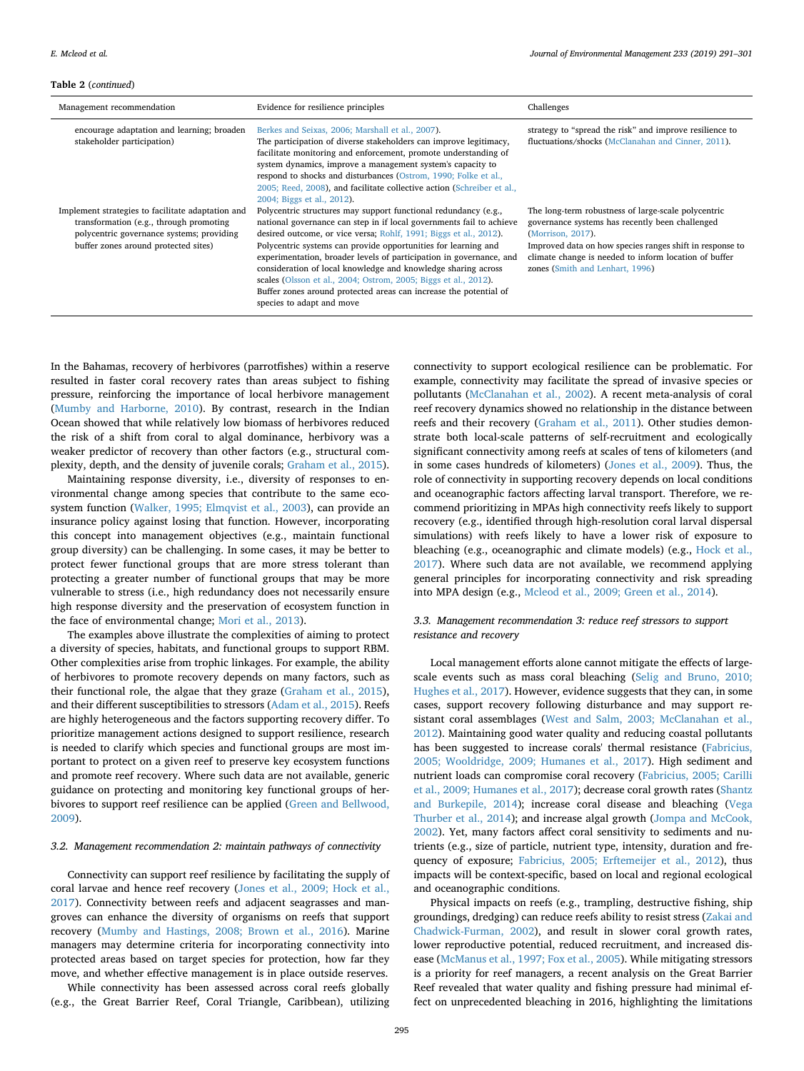#### **Table 2** (*continued*)

| Management recommendation                                                                                                                                                         | Evidence for resilience principles                                                                                                                                                                                                                                                                                                                                                                                                                                                                                                                                                          | Challenges                                                                                                                                                                                                                                                                          |
|-----------------------------------------------------------------------------------------------------------------------------------------------------------------------------------|---------------------------------------------------------------------------------------------------------------------------------------------------------------------------------------------------------------------------------------------------------------------------------------------------------------------------------------------------------------------------------------------------------------------------------------------------------------------------------------------------------------------------------------------------------------------------------------------|-------------------------------------------------------------------------------------------------------------------------------------------------------------------------------------------------------------------------------------------------------------------------------------|
| encourage adaptation and learning; broaden<br>stakeholder participation)                                                                                                          | Berkes and Seixas, 2006; Marshall et al., 2007).<br>The participation of diverse stakeholders can improve legitimacy,<br>facilitate monitoring and enforcement, promote understanding of<br>system dynamics, improve a management system's capacity to<br>respond to shocks and disturbances (Ostrom, 1990; Folke et al.,<br>2005; Reed, 2008), and facilitate collective action (Schreiber et al.,<br>2004; Biggs et al., 2012).                                                                                                                                                           | strategy to "spread the risk" and improve resilience to<br>fluctuations/shocks (McClanahan and Cinner, 2011).                                                                                                                                                                       |
| Implement strategies to facilitate adaptation and<br>transformation (e.g., through promoting<br>polycentric governance systems; providing<br>buffer zones around protected sites) | Polycentric structures may support functional redundancy (e.g.,<br>national governance can step in if local governments fail to achieve<br>desired outcome, or vice versa; Rohlf, 1991; Biggs et al., 2012).<br>Polycentric systems can provide opportunities for learning and<br>experimentation, broader levels of participation in governance, and<br>consideration of local knowledge and knowledge sharing across<br>scales (Olsson et al., 2004; Ostrom, 2005; Biggs et al., 2012).<br>Buffer zones around protected areas can increase the potential of<br>species to adapt and move | The long-term robustness of large-scale polycentric<br>governance systems has recently been challenged<br>(Morrison, 2017).<br>Improved data on how species ranges shift in response to<br>climate change is needed to inform location of buffer<br>zones (Smith and Lenhart, 1996) |

In the Bahamas, recovery of herbivores (parrotfishes) within a reserve resulted in faster coral recovery rates than areas subject to fishing pressure, reinforcing the importance of local herbivore management ([Mumby and Harborne, 2010](#page-9-12)). By contrast, research in the Indian Ocean showed that while relatively low biomass of herbivores reduced the risk of a shift from coral to algal dominance, herbivory was a weaker predictor of recovery than other factors (e.g., structural complexity, depth, and the density of juvenile corals; [Graham et al., 2015](#page-9-19)).

Maintaining response diversity, i.e., diversity of responses to environmental change among species that contribute to the same ecosystem function [\(Walker, 1995; Elmqvist et al., 2003](#page-10-11)), can provide an insurance policy against losing that function. However, incorporating this concept into management objectives (e.g., maintain functional group diversity) can be challenging. In some cases, it may be better to protect fewer functional groups that are more stress tolerant than protecting a greater number of functional groups that may be more vulnerable to stress (i.e., high redundancy does not necessarily ensure high response diversity and the preservation of ecosystem function in the face of environmental change; [Mori et al., 2013](#page-9-30)).

The examples above illustrate the complexities of aiming to protect a diversity of species, habitats, and functional groups to support RBM. Other complexities arise from trophic linkages. For example, the ability of herbivores to promote recovery depends on many factors, such as their functional role, the algae that they graze ([Graham et al., 2015](#page-9-19)), and their different susceptibilities to stressors ([Adam et al., 2015\)](#page-8-26). Reefs are highly heterogeneous and the factors supporting recovery differ. To prioritize management actions designed to support resilience, research is needed to clarify which species and functional groups are most important to protect on a given reef to preserve key ecosystem functions and promote reef recovery. Where such data are not available, generic guidance on protecting and monitoring key functional groups of herbivores to support reef resilience can be applied [\(Green and Bellwood,](#page-9-14) [2009\)](#page-9-14).

#### *3.2. Management recommendation 2: maintain pathways of connectivity*

Connectivity can support reef resilience by facilitating the supply of coral larvae and hence reef recovery ([Jones et al., 2009; Hock et al.,](#page-9-31) [2017\)](#page-9-31). Connectivity between reefs and adjacent seagrasses and mangroves can enhance the diversity of organisms on reefs that support recovery [\(Mumby and Hastings, 2008; Brown et al., 2016](#page-9-25)). Marine managers may determine criteria for incorporating connectivity into protected areas based on target species for protection, how far they move, and whether effective management is in place outside reserves.

While connectivity has been assessed across coral reefs globally (e.g., the Great Barrier Reef, Coral Triangle, Caribbean), utilizing connectivity to support ecological resilience can be problematic. For example, connectivity may facilitate the spread of invasive species or pollutants ([McClanahan et al., 2002\)](#page-9-13). A recent meta-analysis of coral reef recovery dynamics showed no relationship in the distance between reefs and their recovery [\(Graham et al., 2011\)](#page-9-15). Other studies demonstrate both local-scale patterns of self-recruitment and ecologically significant connectivity among reefs at scales of tens of kilometers (and in some cases hundreds of kilometers) [\(Jones et al., 2009\)](#page-9-31). Thus, the role of connectivity in supporting recovery depends on local conditions and oceanographic factors affecting larval transport. Therefore, we recommend prioritizing in MPAs high connectivity reefs likely to support recovery (e.g., identified through high-resolution coral larval dispersal simulations) with reefs likely to have a lower risk of exposure to bleaching (e.g., oceanographic and climate models) (e.g., [Hock et al.,](#page-9-32) [2017\)](#page-9-32). Where such data are not available, we recommend applying general principles for incorporating connectivity and risk spreading into MPA design (e.g., [Mcleod et al., 2009; Green et al., 2014](#page-9-33)).

# *3.3. Management recommendation 3: reduce reef stressors to support resistance and recovery*

Local management efforts alone cannot mitigate the effects of largescale events such as mass coral bleaching [\(Selig and Bruno, 2010;](#page-10-8) [Hughes et al., 2017](#page-10-8)). However, evidence suggests that they can, in some cases, support recovery following disturbance and may support resistant coral assemblages [\(West and Salm, 2003; McClanahan et al.,](#page-10-12) [2012\)](#page-10-12). Maintaining good water quality and reducing coastal pollutants has been suggested to increase corals' thermal resistance [\(Fabricius,](#page-8-20) [2005; Wooldridge, 2009; Humanes et al., 2017\)](#page-8-20). High sediment and nutrient loads can compromise coral recovery ([Fabricius, 2005; Carilli](#page-8-20) [et al., 2009; Humanes et al., 2017](#page-8-20)); decrease coral growth rates ([Shantz](#page-10-13) [and Burkepile, 2014\)](#page-10-13); increase coral disease and bleaching [\(Vega](#page-10-6) [Thurber et al., 2014\)](#page-10-6); and increase algal growth ([Jompa and McCook,](#page-9-21) [2002\)](#page-9-21). Yet, many factors affect coral sensitivity to sediments and nutrients (e.g., size of particle, nutrient type, intensity, duration and frequency of exposure; [Fabricius, 2005; Erftemeijer et al., 2012](#page-8-20)), thus impacts will be context-specific, based on local and regional ecological and oceanographic conditions.

Physical impacts on reefs (e.g., trampling, destructive fishing, ship groundings, dredging) can reduce reefs ability to resist stress [\(Zakai and](#page-10-14) [Chadwick-Furman, 2002\)](#page-10-14), and result in slower coral growth rates, lower reproductive potential, reduced recruitment, and increased disease ([McManus et al., 1997; Fox et al., 2005\)](#page-9-20). While mitigating stressors is a priority for reef managers, a recent analysis on the Great Barrier Reef revealed that water quality and fishing pressure had minimal effect on unprecedented bleaching in 2016, highlighting the limitations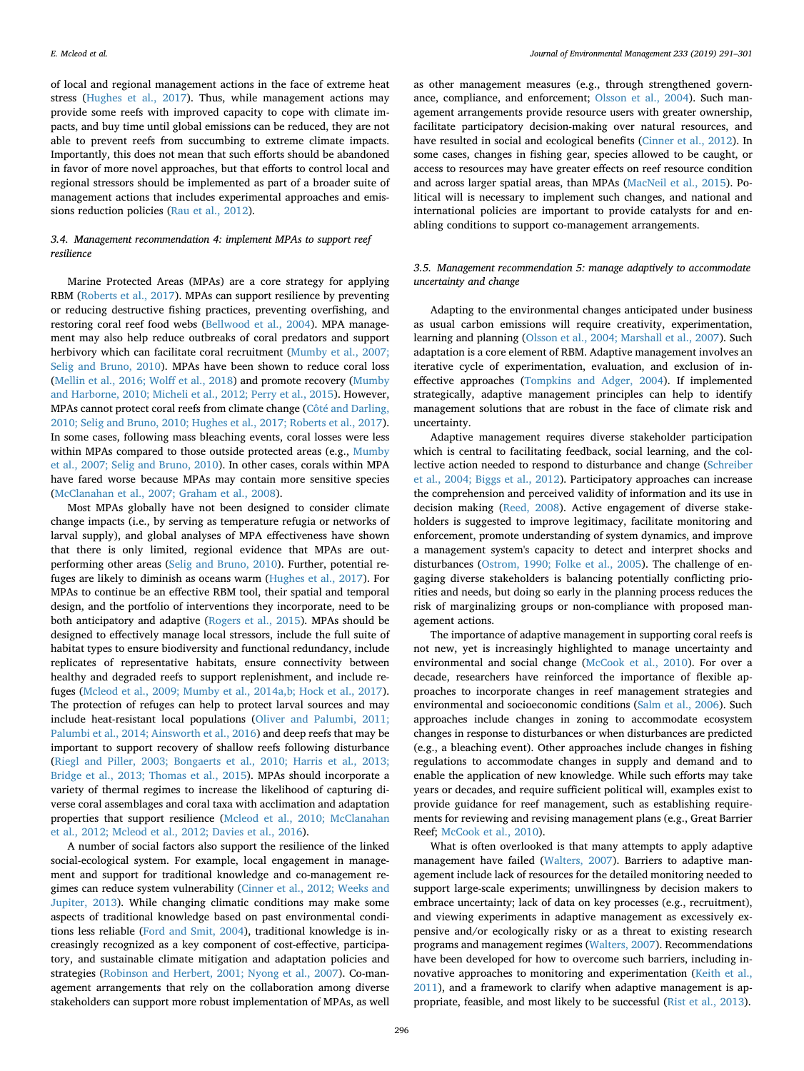of local and regional management actions in the face of extreme heat stress [\(Hughes et al., 2017](#page-9-24)). Thus, while management actions may provide some reefs with improved capacity to cope with climate impacts, and buy time until global emissions can be reduced, they are not able to prevent reefs from succumbing to extreme climate impacts. Importantly, this does not mean that such efforts should be abandoned in favor of more novel approaches, but that efforts to control local and regional stressors should be implemented as part of a broader suite of management actions that includes experimental approaches and emissions reduction policies ([Rau et al., 2012\)](#page-10-0).

# *3.4. Management recommendation 4: implement MPAs to support reef resilience*

Marine Protected Areas (MPAs) are a core strategy for applying RBM [\(Roberts et al., 2017\)](#page-10-18). MPAs can support resilience by preventing or reducing destructive fishing practices, preventing overfishing, and restoring coral reef food webs [\(Bellwood et al., 2004](#page-8-3)). MPA management may also help reduce outbreaks of coral predators and support herbivory which can facilitate coral recruitment ([Mumby et al., 2007;](#page-9-23) [Selig and Bruno, 2010](#page-9-23)). MPAs have been shown to reduce coral loss ([Mellin et al., 2016; Wolff et al., 2018\)](#page-9-22) and promote recovery ([Mumby](#page-9-12) [and Harborne, 2010; Micheli et al., 2012; Perry et al., 2015](#page-9-12)). However, MPAs cannot protect coral reefs from climate change [\(Côté and Darling,](#page-8-11) [2010; Selig and Bruno, 2010; Hughes et al., 2017; Roberts et al., 2017](#page-8-11)). In some cases, following mass bleaching events, coral losses were less within MPAs compared to those outside protected areas (e.g., [Mumby](#page-9-23) [et al., 2007; Selig and Bruno, 2010\)](#page-9-23). In other cases, corals within MPA have fared worse because MPAs may contain more sensitive species ([McClanahan et al., 2007; Graham et al., 2008](#page-9-36)).

Most MPAs globally have not been designed to consider climate change impacts (i.e., by serving as temperature refugia or networks of larval supply), and global analyses of MPA effectiveness have shown that there is only limited, regional evidence that MPAs are outperforming other areas [\(Selig and Bruno, 2010](#page-10-8)). Further, potential refuges are likely to diminish as oceans warm ([Hughes et al., 2017](#page-9-24)). For MPAs to continue be an effective RBM tool, their spatial and temporal design, and the portfolio of interventions they incorporate, need to be both anticipatory and adaptive [\(Rogers et al., 2015\)](#page-10-19). MPAs should be designed to effectively manage local stressors, include the full suite of habitat types to ensure biodiversity and functional redundancy, include replicates of representative habitats, ensure connectivity between healthy and degraded reefs to support replenishment, and include refuges ([Mcleod et al., 2009; Mumby et al., 2014a,b; Hock et al., 2017](#page-9-33)). The protection of refuges can help to protect larval sources and may include heat-resistant local populations [\(Oliver and Palumbi, 2011;](#page-9-37) [Palumbi et al., 2014; Ainsworth et al., 2016](#page-9-37)) and deep reefs that may be important to support recovery of shallow reefs following disturbance ([Riegl and Piller, 2003; Bongaerts et al., 2010; Harris et al., 2013;](#page-10-20) [Bridge et al., 2013; Thomas et al., 2015\)](#page-10-20). MPAs should incorporate a variety of thermal regimes to increase the likelihood of capturing diverse coral assemblages and coral taxa with acclimation and adaptation properties that support resilience ([Mcleod et al., 2010; McClanahan](#page-9-38) [et al., 2012; Mcleod et al., 2012; Davies et al., 2016](#page-9-38)).

A number of social factors also support the resilience of the linked social-ecological system. For example, local engagement in management and support for traditional knowledge and co-management regimes can reduce system vulnerability [\(Cinner et al., 2012; Weeks and](#page-8-15) [Jupiter, 2013\)](#page-8-15). While changing climatic conditions may make some aspects of traditional knowledge based on past environmental conditions less reliable [\(Ford and Smit, 2004\)](#page-8-27), traditional knowledge is increasingly recognized as a key component of cost-effective, participatory, and sustainable climate mitigation and adaptation policies and strategies ([Robinson and Herbert, 2001; Nyong et al., 2007\)](#page-10-21). Co-management arrangements that rely on the collaboration among diverse stakeholders can support more robust implementation of MPAs, as well

as other management measures (e.g., through strengthened governance, compliance, and enforcement; [Olsson et al., 2004](#page-9-29)). Such management arrangements provide resource users with greater ownership, facilitate participatory decision-making over natural resources, and have resulted in social and ecological benefits ([Cinner et al., 2012\)](#page-8-15). In some cases, changes in fishing gear, species allowed to be caught, or access to resources may have greater effects on reef resource condition and across larger spatial areas, than MPAs ([MacNeil et al., 2015](#page-9-39)). Political will is necessary to implement such changes, and national and international policies are important to provide catalysts for and enabling conditions to support co-management arrangements.

# *3.5. Management recommendation 5: manage adaptively to accommodate uncertainty and change*

Adapting to the environmental changes anticipated under business as usual carbon emissions will require creativity, experimentation, learning and planning ([Olsson et al., 2004; Marshall et al., 2007](#page-9-29)). Such adaptation is a core element of RBM. Adaptive management involves an iterative cycle of experimentation, evaluation, and exclusion of ineffective approaches ([Tompkins and Adger, 2004\)](#page-10-10). If implemented strategically, adaptive management principles can help to identify management solutions that are robust in the face of climate risk and uncertainty.

Adaptive management requires diverse stakeholder participation which is central to facilitating feedback, social learning, and the collective action needed to respond to disturbance and change [\(Schreiber](#page-10-15) [et al., 2004; Biggs et al., 2012\)](#page-10-15). Participatory approaches can increase the comprehension and perceived validity of information and its use in decision making ([Reed, 2008](#page-10-22)). Active engagement of diverse stakeholders is suggested to improve legitimacy, facilitate monitoring and enforcement, promote understanding of system dynamics, and improve a management system's capacity to detect and interpret shocks and disturbances ([Ostrom, 1990; Folke et al., 2005](#page-9-26)). The challenge of engaging diverse stakeholders is balancing potentially conflicting priorities and needs, but doing so early in the planning process reduces the risk of marginalizing groups or non-compliance with proposed management actions.

The importance of adaptive management in supporting coral reefs is not new, yet is increasingly highlighted to manage uncertainty and environmental and social change [\(McCook et al., 2010\)](#page-9-40). For over a decade, researchers have reinforced the importance of flexible approaches to incorporate changes in reef management strategies and environmental and socioeconomic conditions [\(Salm et al., 2006\)](#page-10-23). Such approaches include changes in zoning to accommodate ecosystem changes in response to disturbances or when disturbances are predicted (e.g., a bleaching event). Other approaches include changes in fishing regulations to accommodate changes in supply and demand and to enable the application of new knowledge. While such efforts may take years or decades, and require sufficient political will, examples exist to provide guidance for reef management, such as establishing requirements for reviewing and revising management plans (e.g., Great Barrier Reef; [McCook et al., 2010](#page-9-40)).

What is often overlooked is that many attempts to apply adaptive management have failed [\(Walters, 2007\)](#page-10-5). Barriers to adaptive management include lack of resources for the detailed monitoring needed to support large-scale experiments; unwillingness by decision makers to embrace uncertainty; lack of data on key processes (e.g., recruitment), and viewing experiments in adaptive management as excessively expensive and/or ecologically risky or as a threat to existing research programs and management regimes ([Walters, 2007\)](#page-10-5). Recommendations have been developed for how to overcome such barriers, including innovative approaches to monitoring and experimentation [\(Keith et al.,](#page-9-41) [2011\)](#page-9-41), and a framework to clarify when adaptive management is appropriate, feasible, and most likely to be successful ([Rist et al., 2013](#page-10-24)).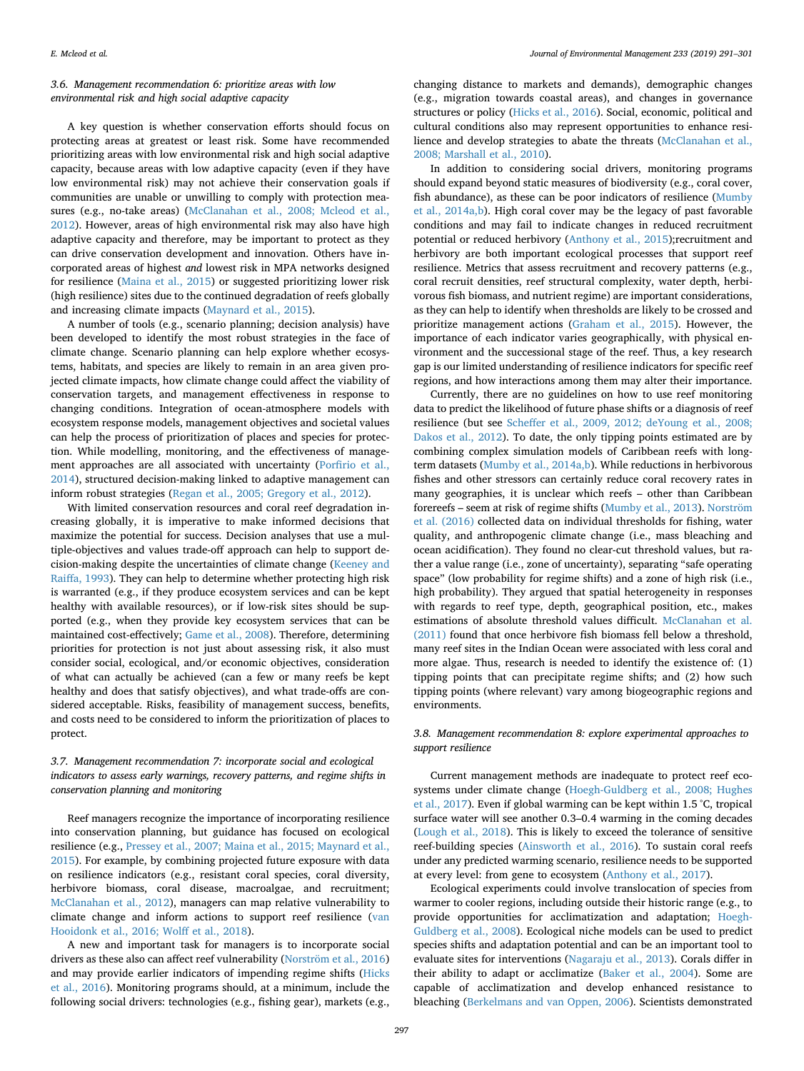## *3.6. Management recommendation 6: prioritize areas with low environmental risk and high social adaptive capacity*

A key question is whether conservation efforts should focus on protecting areas at greatest or least risk. Some have recommended prioritizing areas with low environmental risk and high social adaptive capacity, because areas with low adaptive capacity (even if they have low environmental risk) may not achieve their conservation goals if communities are unable or unwilling to comply with protection measures (e.g., no-take areas) ([McClanahan et al., 2008; Mcleod et al.,](#page-9-10) [2012\)](#page-9-10). However, areas of high environmental risk may also have high adaptive capacity and therefore, may be important to protect as they can drive conservation development and innovation. Others have incorporated areas of highest *and* lowest risk in MPA networks designed for resilience [\(Maina et al., 2015](#page-9-42)) or suggested prioritizing lower risk (high resilience) sites due to the continued degradation of reefs globally and increasing climate impacts ([Maynard et al., 2015](#page-9-43)).

A number of tools (e.g., scenario planning; decision analysis) have been developed to identify the most robust strategies in the face of climate change. Scenario planning can help explore whether ecosystems, habitats, and species are likely to remain in an area given projected climate impacts, how climate change could affect the viability of conservation targets, and management effectiveness in response to changing conditions. Integration of ocean-atmosphere models with ecosystem response models, management objectives and societal values can help the process of prioritization of places and species for protection. While modelling, monitoring, and the effectiveness of management approaches are all associated with uncertainty ([Porfirio et al.,](#page-9-17) [2014\)](#page-9-17), structured decision-making linked to adaptive management can inform robust strategies [\(Regan et al., 2005; Gregory et al., 2012\)](#page-10-25).

With limited conservation resources and coral reef degradation increasing globally, it is imperative to make informed decisions that maximize the potential for success. Decision analyses that use a multiple-objectives and values trade-off approach can help to support decision-making despite the uncertainties of climate change ([Keeney and](#page-9-44) [Raiffa, 1993\)](#page-9-44). They can help to determine whether protecting high risk is warranted (e.g., if they produce ecosystem services and can be kept healthy with available resources), or if low-risk sites should be supported (e.g., when they provide key ecosystem services that can be maintained cost-effectively; [Game et al., 2008\)](#page-8-28). Therefore, determining priorities for protection is not just about assessing risk, it also must consider social, ecological, and/or economic objectives, consideration of what can actually be achieved (can a few or many reefs be kept healthy and does that satisfy objectives), and what trade-offs are considered acceptable. Risks, feasibility of management success, benefits, and costs need to be considered to inform the prioritization of places to protect.

# *3.7. Management recommendation 7: incorporate social and ecological indicators to assess early warnings, recovery patterns, and regime shifts in conservation planning and monitoring*

Reef managers recognize the importance of incorporating resilience into conservation planning, but guidance has focused on ecological resilience (e.g., [Pressey et al., 2007; Maina et al., 2015; Maynard et al.,](#page-9-45) [2015\)](#page-9-45). For example, by combining projected future exposure with data on resilience indicators (e.g., resistant coral species, coral diversity, herbivore biomass, coral disease, macroalgae, and recruitment; [McClanahan et al., 2012\)](#page-9-11), managers can map relative vulnerability to climate change and inform actions to support reef resilience ([van](#page-10-9) [Hooidonk et al., 2016; Wolff et al., 2018](#page-10-9)).

A new and important task for managers is to incorporate social drivers as these also can affect reef vulnerability [\(Norström et al., 2016\)](#page-9-46) and may provide earlier indicators of impending regime shifts [\(Hicks](#page-9-27) [et al., 2016\)](#page-9-27). Monitoring programs should, at a minimum, include the following social drivers: technologies (e.g., fishing gear), markets (e.g.,

changing distance to markets and demands), demographic changes (e.g., migration towards coastal areas), and changes in governance structures or policy [\(Hicks et al., 2016](#page-9-27)). Social, economic, political and cultural conditions also may represent opportunities to enhance resilience and develop strategies to abate the threats [\(McClanahan et al.,](#page-9-10) [2008; Marshall et al., 2010\)](#page-9-10).

In addition to considering social drivers, monitoring programs should expand beyond static measures of biodiversity (e.g., coral cover, fish abundance), as these can be poor indicators of resilience ([Mumby](#page-9-5) [et al., 2014a,b](#page-9-5)). High coral cover may be the legacy of past favorable conditions and may fail to indicate changes in reduced recruitment potential or reduced herbivory ([Anthony et al., 2015](#page-8-6));recruitment and herbivory are both important ecological processes that support reef resilience. Metrics that assess recruitment and recovery patterns (e.g., coral recruit densities, reef structural complexity, water depth, herbivorous fish biomass, and nutrient regime) are important considerations, as they can help to identify when thresholds are likely to be crossed and prioritize management actions [\(Graham et al., 2015\)](#page-9-19). However, the importance of each indicator varies geographically, with physical environment and the successional stage of the reef. Thus, a key research gap is our limited understanding of resilience indicators for specific reef regions, and how interactions among them may alter their importance.

Currently, there are no guidelines on how to use reef monitoring data to predict the likelihood of future phase shifts or a diagnosis of reef resilience (but see [Scheffer et al., 2009, 2012; deYoung et al., 2008;](#page-10-26) [Dakos et al., 2012](#page-10-26)). To date, the only tipping points estimated are by combining complex simulation models of Caribbean reefs with long-term datasets [\(Mumby et al., 2014a,b\)](#page-9-5). While reductions in herbivorous fishes and other stressors can certainly reduce coral recovery rates in many geographies, it is unclear which reefs – other than Caribbean forereefs – seem at risk of regime shifts [\(Mumby et al., 2013](#page-9-47)). [Norström](#page-9-46) [et al. \(2016\)](#page-9-46) collected data on individual thresholds for fishing, water quality, and anthropogenic climate change (i.e., mass bleaching and ocean acidification). They found no clear-cut threshold values, but rather a value range (i.e., zone of uncertainty), separating "safe operating space" (low probability for regime shifts) and a zone of high risk (i.e., high probability). They argued that spatial heterogeneity in responses with regards to reef type, depth, geographical position, etc., makes estimations of absolute threshold values difficult. [McClanahan et al.](#page-9-48) [\(2011\)](#page-9-48) found that once herbivore fish biomass fell below a threshold, many reef sites in the Indian Ocean were associated with less coral and more algae. Thus, research is needed to identify the existence of: (1) tipping points that can precipitate regime shifts; and (2) how such tipping points (where relevant) vary among biogeographic regions and environments.

#### *3.8. Management recommendation 8: explore experimental approaches to support resilience*

Current management methods are inadequate to protect reef ecosystems under climate change ([Hoegh-Guldberg et al., 2008; Hughes](#page-9-49) [et al., 2017](#page-9-49)). Even if global warming can be kept within 1.5 °C, tropical surface water will see another 0.3–0.4 warming in the coming decades ([Lough et al., 2018](#page-9-50)). This is likely to exceed the tolerance of sensitive reef-building species [\(Ainsworth et al., 2016\)](#page-8-29). To sustain coral reefs under any predicted warming scenario, resilience needs to be supported at every level: from gene to ecosystem ([Anthony et al., 2017](#page-8-30)).

Ecological experiments could involve translocation of species from warmer to cooler regions, including outside their historic range (e.g., to provide opportunities for acclimatization and adaptation; [Hoegh-](#page-9-49)[Guldberg et al., 2008\)](#page-9-49). Ecological niche models can be used to predict species shifts and adaptation potential and can be an important tool to evaluate sites for interventions [\(Nagaraju et al., 2013\)](#page-9-51). Corals differ in their ability to adapt or acclimatize ([Baker et al., 2004](#page-8-23)). Some are capable of acclimatization and develop enhanced resistance to bleaching [\(Berkelmans and van Oppen, 2006](#page-8-24)). Scientists demonstrated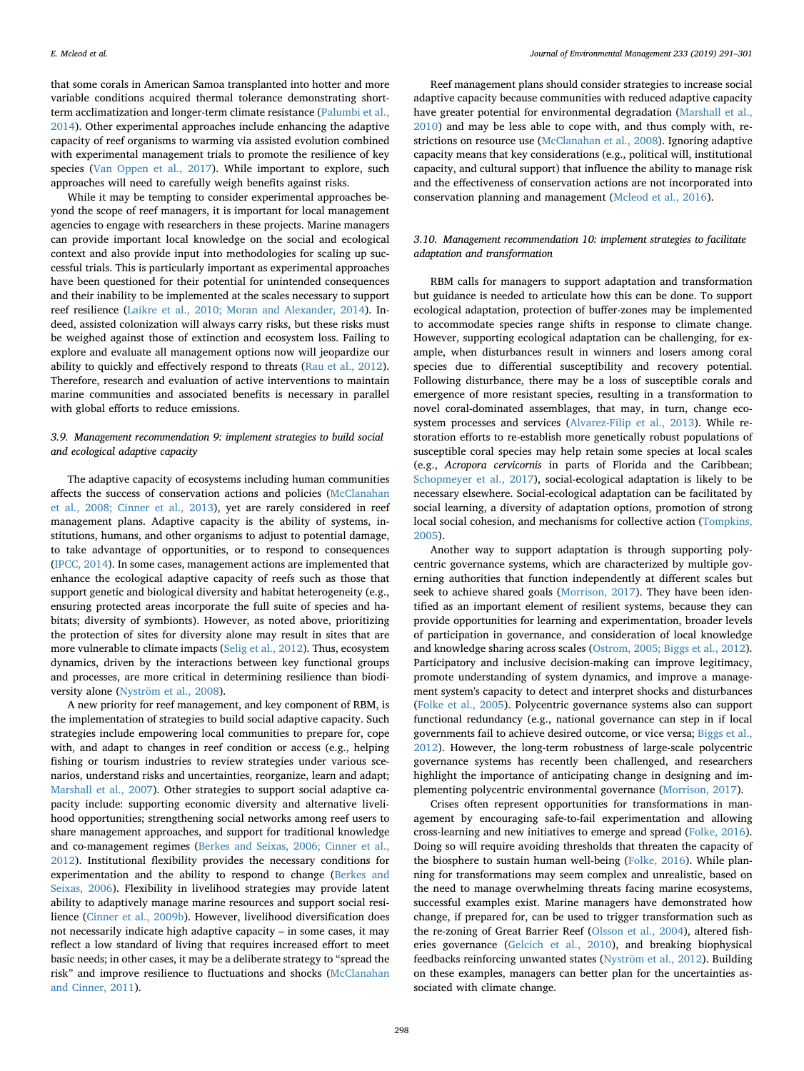that some corals in American Samoa transplanted into hotter and more variable conditions acquired thermal tolerance demonstrating shortterm acclimatization and longer-term climate resistance [\(Palumbi et al.,](#page-9-28) [2014\)](#page-9-28). Other experimental approaches include enhancing the adaptive capacity of reef organisms to warming via assisted evolution combined with experimental management trials to promote the resilience of key species [\(Van Oppen et al., 2017](#page-10-1)). While important to explore, such approaches will need to carefully weigh benefits against risks.

While it may be tempting to consider experimental approaches beyond the scope of reef managers, it is important for local management agencies to engage with researchers in these projects. Marine managers can provide important local knowledge on the social and ecological context and also provide input into methodologies for scaling up successful trials. This is particularly important as experimental approaches have been questioned for their potential for unintended consequences and their inability to be implemented at the scales necessary to support reef resilience [\(Laikre et al., 2010; Moran and Alexander, 2014](#page-9-52)). Indeed, assisted colonization will always carry risks, but these risks must be weighed against those of extinction and ecosystem loss. Failing to explore and evaluate all management options now will jeopardize our ability to quickly and effectively respond to threats [\(Rau et al., 2012](#page-10-0)). Therefore, research and evaluation of active interventions to maintain marine communities and associated benefits is necessary in parallel with global efforts to reduce emissions.

## *3.9. Management recommendation 9: implement strategies to build social and ecological adaptive capacity*

The adaptive capacity of ecosystems including human communities affects the success of conservation actions and policies ([McClanahan](#page-9-10) [et al., 2008; Cinner et al., 2013](#page-9-10)), yet are rarely considered in reef management plans. Adaptive capacity is the ability of systems, institutions, humans, and other organisms to adjust to potential damage, to take advantage of opportunities, or to respond to consequences ([IPCC, 2014](#page-9-53)). In some cases, management actions are implemented that enhance the ecological adaptive capacity of reefs such as those that support genetic and biological diversity and habitat heterogeneity (e.g., ensuring protected areas incorporate the full suite of species and habitats; diversity of symbionts). However, as noted above, prioritizing the protection of sites for diversity alone may result in sites that are more vulnerable to climate impacts [\(Selig et al., 2012](#page-10-27)). Thus, ecosystem dynamics, driven by the interactions between key functional groups and processes, are more critical in determining resilience than biodiversity alone ([Nyström et al., 2008](#page-9-8)).

A new priority for reef management, and key component of RBM, is the implementation of strategies to build social adaptive capacity. Such strategies include empowering local communities to prepare for, cope with, and adapt to changes in reef condition or access (e.g., helping fishing or tourism industries to review strategies under various scenarios, understand risks and uncertainties, reorganize, learn and adapt; [Marshall et al., 2007](#page-9-54)). Other strategies to support social adaptive capacity include: supporting economic diversity and alternative livelihood opportunities; strengthening social networks among reef users to share management approaches, and support for traditional knowledge and co-management regimes [\(Berkes and Seixas, 2006; Cinner et al.,](#page-8-25) [2012\)](#page-8-25). Institutional flexibility provides the necessary conditions for experimentation and the ability to respond to change ([Berkes and](#page-8-25) [Seixas, 2006](#page-8-25)). Flexibility in livelihood strategies may provide latent ability to adaptively manage marine resources and support social resilience [\(Cinner et al., 2009b](#page-8-31)). However, livelihood diversification does not necessarily indicate high adaptive capacity – in some cases, it may reflect a low standard of living that requires increased effort to meet basic needs; in other cases, it may be a deliberate strategy to "spread the risk" and improve resilience to fluctuations and shocks ([McClanahan](#page-9-34) [and Cinner, 2011\)](#page-9-34).

Reef management plans should consider strategies to increase social adaptive capacity because communities with reduced adaptive capacity have greater potential for environmental degradation ([Marshall et al.,](#page-9-55) [2010\)](#page-9-55) and may be less able to cope with, and thus comply with, restrictions on resource use [\(McClanahan et al., 2008\)](#page-9-10). Ignoring adaptive capacity means that key considerations (e.g., political will, institutional capacity, and cultural support) that influence the ability to manage risk and the effectiveness of conservation actions are not incorporated into conservation planning and management ([Mcleod et al., 2016\)](#page-9-56).

# *3.10. Management recommendation 10: implement strategies to facilitate adaptation and transformation*

RBM calls for managers to support adaptation and transformation but guidance is needed to articulate how this can be done. To support ecological adaptation, protection of buffer-zones may be implemented to accommodate species range shifts in response to climate change. However, supporting ecological adaptation can be challenging, for example, when disturbances result in winners and losers among coral species due to differential susceptibility and recovery potential. Following disturbance, there may be a loss of susceptible corals and emergence of more resistant species, resulting in a transformation to novel coral-dominated assemblages, that may, in turn, change ecosystem processes and services [\(Alvarez-Filip et al., 2013\)](#page-8-32). While restoration efforts to re-establish more genetically robust populations of susceptible coral species may help retain some species at local scales (e.g., *Acropora cervicornis* in parts of Florida and the Caribbean; [Schopmeyer et al., 2017](#page-10-28)), social-ecological adaptation is likely to be necessary elsewhere. Social-ecological adaptation can be facilitated by social learning, a diversity of adaptation options, promotion of strong local social cohesion, and mechanisms for collective action ([Tompkins,](#page-10-29) [2005\)](#page-10-29).

Another way to support adaptation is through supporting polycentric governance systems, which are characterized by multiple governing authorities that function independently at different scales but seek to achieve shared goals ([Morrison, 2017](#page-9-35)). They have been identified as an important element of resilient systems, because they can provide opportunities for learning and experimentation, broader levels of participation in governance, and consideration of local knowledge and knowledge sharing across scales [\(Ostrom, 2005; Biggs et al., 2012](#page-9-57)). Participatory and inclusive decision-making can improve legitimacy, promote understanding of system dynamics, and improve a management system's capacity to detect and interpret shocks and disturbances ([Folke et al., 2005\)](#page-8-33). Polycentric governance systems also can support functional redundancy (e.g., national governance can step in if local governments fail to achieve desired outcome, or vice versa; [Biggs et al.,](#page-8-8) [2012\)](#page-8-8). However, the long-term robustness of large-scale polycentric governance systems has recently been challenged, and researchers highlight the importance of anticipating change in designing and implementing polycentric environmental governance [\(Morrison, 2017](#page-9-35)).

Crises often represent opportunities for transformations in management by encouraging safe-to-fail experimentation and allowing cross-learning and new initiatives to emerge and spread ([Folke, 2016](#page-8-5)). Doing so will require avoiding thresholds that threaten the capacity of the biosphere to sustain human well-being ([Folke, 2016\)](#page-8-5). While planning for transformations may seem complex and unrealistic, based on the need to manage overwhelming threats facing marine ecosystems, successful examples exist. Marine managers have demonstrated how change, if prepared for, can be used to trigger transformation such as the re-zoning of Great Barrier Reef ([Olsson et al., 2004](#page-9-29)), altered fisheries governance ([Gelcich et al., 2010](#page-8-16)), and breaking biophysical feedbacks reinforcing unwanted states [\(Nyström et al., 2012](#page-9-58)). Building on these examples, managers can better plan for the uncertainties associated with climate change.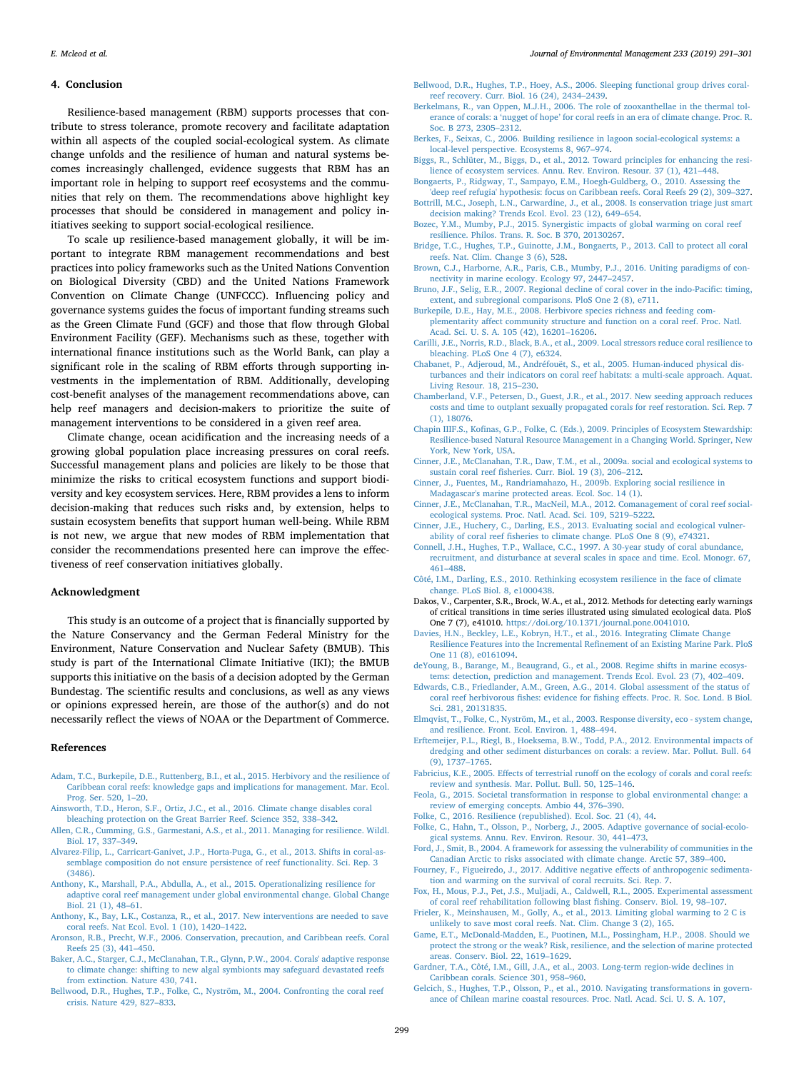#### **4. Conclusion**

Resilience-based management (RBM) supports processes that contribute to stress tolerance, promote recovery and facilitate adaptation within all aspects of the coupled social-ecological system. As climate change unfolds and the resilience of human and natural systems becomes increasingly challenged, evidence suggests that RBM has an important role in helping to support reef ecosystems and the communities that rely on them. The recommendations above highlight key processes that should be considered in management and policy initiatives seeking to support social-ecological resilience.

To scale up resilience-based management globally, it will be important to integrate RBM management recommendations and best practices into policy frameworks such as the United Nations Convention on Biological Diversity (CBD) and the United Nations Framework Convention on Climate Change (UNFCCC). Influencing policy and governance systems guides the focus of important funding streams such as the Green Climate Fund (GCF) and those that flow through Global Environment Facility (GEF). Mechanisms such as these, together with international finance institutions such as the World Bank, can play a significant role in the scaling of RBM efforts through supporting investments in the implementation of RBM. Additionally, developing cost-benefit analyses of the management recommendations above, can help reef managers and decision-makers to prioritize the suite of management interventions to be considered in a given reef area.

Climate change, ocean acidification and the increasing needs of a growing global population place increasing pressures on coral reefs. Successful management plans and policies are likely to be those that minimize the risks to critical ecosystem functions and support biodiversity and key ecosystem services. Here, RBM provides a lens to inform decision-making that reduces such risks and, by extension, helps to sustain ecosystem benefits that support human well-being. While RBM is not new, we argue that new modes of RBM implementation that consider the recommendations presented here can improve the effectiveness of reef conservation initiatives globally.

#### **Acknowledgment**

This study is an outcome of a project that is financially supported by the Nature Conservancy and the German Federal Ministry for the Environment, Nature Conservation and Nuclear Safety (BMUB). This study is part of the International Climate Initiative (IKI); the BMUB supports this initiative on the basis of a decision adopted by the German Bundestag. The scientific results and conclusions, as well as any views or opinions expressed herein, are those of the author(s) and do not necessarily reflect the views of NOAA or the Department of Commerce.

#### **References**

- <span id="page-8-26"></span>[Adam, T.C., Burkepile, D.E., Ruttenberg, B.I., et al., 2015. Herbivory and the resilience of](http://refhub.elsevier.com/S0301-4797(18)31299-4/sref1) [Caribbean coral reefs: knowledge gaps and implications for management. Mar. Ecol.](http://refhub.elsevier.com/S0301-4797(18)31299-4/sref1) [Prog. Ser. 520, 1–20.](http://refhub.elsevier.com/S0301-4797(18)31299-4/sref1)
- <span id="page-8-29"></span>[Ainsworth, T.D., Heron, S.F., Ortiz, J.C., et al., 2016. Climate change disables coral](http://refhub.elsevier.com/S0301-4797(18)31299-4/sref2) [bleaching protection on the Great Barrier Reef. Science 352, 338–342.](http://refhub.elsevier.com/S0301-4797(18)31299-4/sref2)
- <span id="page-8-17"></span>[Allen, C.R., Cumming, G.S., Garmestani, A.S., et al., 2011. Managing for resilience. Wildl.](http://refhub.elsevier.com/S0301-4797(18)31299-4/sref3) [Biol. 17, 337–349](http://refhub.elsevier.com/S0301-4797(18)31299-4/sref3).
- <span id="page-8-32"></span>[Alvarez-Filip, L., Carricart-Ganivet, J.P., Horta-Puga, G., et al., 2013. Shifts in coral-as](http://refhub.elsevier.com/S0301-4797(18)31299-4/sref4)[semblage composition do not ensure persistence of reef functionality. Sci. Rep. 3](http://refhub.elsevier.com/S0301-4797(18)31299-4/sref4) [\(3486\).](http://refhub.elsevier.com/S0301-4797(18)31299-4/sref4)
- <span id="page-8-6"></span>[Anthony, K., Marshall, P.A., Abdulla, A., et al., 2015. Operationalizing resilience for](http://refhub.elsevier.com/S0301-4797(18)31299-4/sref5) [adaptive coral reef management under global environmental change. Global Change](http://refhub.elsevier.com/S0301-4797(18)31299-4/sref5) [Biol. 21 \(1\), 48–61.](http://refhub.elsevier.com/S0301-4797(18)31299-4/sref5)
- <span id="page-8-30"></span>[Anthony, K., Bay, L.K., Costanza, R., et al., 2017. New interventions are needed to save](http://refhub.elsevier.com/S0301-4797(18)31299-4/sref6) [coral reefs. Nat Ecol. Evol. 1 \(10\), 1420–1422](http://refhub.elsevier.com/S0301-4797(18)31299-4/sref6).
- [Aronson, R.B., Precht, W.F., 2006. Conservation, precaution, and Caribbean reefs. Coral](http://refhub.elsevier.com/S0301-4797(18)31299-4/sref7) [Reefs 25 \(3\), 441–450.](http://refhub.elsevier.com/S0301-4797(18)31299-4/sref7)
- <span id="page-8-23"></span>[Baker, A.C., Starger, C.J., McClanahan, T.R., Glynn, P.W., 2004. Corals' adaptive response](http://refhub.elsevier.com/S0301-4797(18)31299-4/sref8) [to climate change: shifting to new algal symbionts may safeguard devastated reefs](http://refhub.elsevier.com/S0301-4797(18)31299-4/sref8) [from extinction. Nature 430, 741](http://refhub.elsevier.com/S0301-4797(18)31299-4/sref8).
- <span id="page-8-3"></span>[Bellwood, D.R., Hughes, T.P., Folke, C., Nyström, M., 2004. Confronting the coral reef](http://refhub.elsevier.com/S0301-4797(18)31299-4/sref9) [crisis. Nature 429, 827–833.](http://refhub.elsevier.com/S0301-4797(18)31299-4/sref9)
- <span id="page-8-12"></span>[Bellwood, D.R., Hughes, T.P., Hoey, A.S., 2006. Sleeping functional group drives coral](http://refhub.elsevier.com/S0301-4797(18)31299-4/sref10)[reef recovery. Curr. Biol. 16 \(24\), 2434–2439](http://refhub.elsevier.com/S0301-4797(18)31299-4/sref10).
- <span id="page-8-24"></span>[Berkelmans, R., van Oppen, M.J.H., 2006. The role of zooxanthellae in the thermal tol](http://refhub.elsevier.com/S0301-4797(18)31299-4/sref11)[erance of corals: a 'nugget of hope' for coral reefs in an era of climate change. Proc. R.](http://refhub.elsevier.com/S0301-4797(18)31299-4/sref11) [Soc. B 273, 2305–2312.](http://refhub.elsevier.com/S0301-4797(18)31299-4/sref11)
- <span id="page-8-25"></span>[Berkes, F., Seixas, C., 2006. Building resilience in lagoon social-ecological systems: a](http://refhub.elsevier.com/S0301-4797(18)31299-4/sref12) [local-level perspective. Ecosystems 8, 967–974.](http://refhub.elsevier.com/S0301-4797(18)31299-4/sref12)
- <span id="page-8-8"></span>[Biggs, R., Schlüter, M., Biggs, D., et al., 2012. Toward principles for enhancing the resi](http://refhub.elsevier.com/S0301-4797(18)31299-4/sref13)[lience of ecosystem services. Annu. Rev. Environ. Resour. 37 \(1\), 421–448](http://refhub.elsevier.com/S0301-4797(18)31299-4/sref13).
- [Bongaerts, P., Ridgway, T., Sampayo, E.M., Hoegh-Guldberg, O., 2010. Assessing the](http://refhub.elsevier.com/S0301-4797(18)31299-4/sref14) ['deep reef refugia' hypothesis: focus on Caribbean reefs. Coral Reefs 29 \(2\), 309–327.](http://refhub.elsevier.com/S0301-4797(18)31299-4/sref14)
- <span id="page-8-13"></span>[Bottrill, M.C., Joseph, L.N., Carwardine, J., et al., 2008. Is conservation triage just smart](http://refhub.elsevier.com/S0301-4797(18)31299-4/sref15) [decision making? Trends Ecol. Evol. 23 \(12\), 649–654.](http://refhub.elsevier.com/S0301-4797(18)31299-4/sref15)
- <span id="page-8-1"></span>[Bozec, Y.M., Mumby, P.J., 2015. Synergistic impacts of global warming on coral reef](http://refhub.elsevier.com/S0301-4797(18)31299-4/sref16) [resilience. Philos. Trans. R. Soc. B 370, 20130267.](http://refhub.elsevier.com/S0301-4797(18)31299-4/sref16)
- [Bridge, T.C., Hughes, T.P., Guinotte, J.M., Bongaerts, P., 2013. Call to protect all coral](http://refhub.elsevier.com/S0301-4797(18)31299-4/sref18) [reefs. Nat. Clim. Change 3 \(6\), 528.](http://refhub.elsevier.com/S0301-4797(18)31299-4/sref18)
- [Brown, C.J., Harborne, A.R., Paris, C.B., Mumby, P.J., 2016. Uniting paradigms of con](http://refhub.elsevier.com/S0301-4797(18)31299-4/sref19)[nectivity in marine ecology. Ecology 97, 2447–2457.](http://refhub.elsevier.com/S0301-4797(18)31299-4/sref19)
- [Bruno, J.F., Selig, E.R., 2007. Regional decline of coral cover in the indo-Pacific: timing,](http://refhub.elsevier.com/S0301-4797(18)31299-4/sref20) [extent, and subregional comparisons. PloS One 2 \(8\), e711.](http://refhub.elsevier.com/S0301-4797(18)31299-4/sref20)
- [Burkepile, D.E., Hay, M.E., 2008. Herbivore species richness and feeding com](http://refhub.elsevier.com/S0301-4797(18)31299-4/sref21)[plementarity affect community structure and function on a coral reef. Proc. Natl.](http://refhub.elsevier.com/S0301-4797(18)31299-4/sref21) [Acad. Sci. U. S. A. 105 \(42\), 16201–16206](http://refhub.elsevier.com/S0301-4797(18)31299-4/sref21).
- [Carilli, J.E., Norris, R.D., Black, B.A., et al., 2009. Local stressors reduce coral resilience to](http://refhub.elsevier.com/S0301-4797(18)31299-4/sref23) [bleaching. PLoS One 4 \(7\), e6324.](http://refhub.elsevier.com/S0301-4797(18)31299-4/sref23)
- <span id="page-8-22"></span>[Chabanet, P., Adjeroud, M., Andréfouët, S., et al., 2005. Human-induced physical dis](http://refhub.elsevier.com/S0301-4797(18)31299-4/sref24)[turbances and their indicators on coral reef habitats: a multi-scale approach. Aquat.](http://refhub.elsevier.com/S0301-4797(18)31299-4/sref24) [Living Resour. 18, 215–230](http://refhub.elsevier.com/S0301-4797(18)31299-4/sref24).
- <span id="page-8-4"></span>[Chamberland, V.F., Petersen, D., Guest, J.R., et al., 2017. New seeding approach reduces](http://refhub.elsevier.com/S0301-4797(18)31299-4/sref25) [costs and time to outplant sexually propagated corals for reef restoration. Sci. Rep. 7](http://refhub.elsevier.com/S0301-4797(18)31299-4/sref25) [\(1\), 18076.](http://refhub.elsevier.com/S0301-4797(18)31299-4/sref25)
- <span id="page-8-9"></span>[Chapin IIIF.S., Kofinas, G.P., Folke, C. \(Eds.\), 2009. Principles of Ecosystem Stewardship:](http://refhub.elsevier.com/S0301-4797(18)31299-4/sref26) [Resilience-based Natural Resource Management in a Changing World. Springer, New](http://refhub.elsevier.com/S0301-4797(18)31299-4/sref26) [York, New York, USA](http://refhub.elsevier.com/S0301-4797(18)31299-4/sref26).
- <span id="page-8-10"></span>[Cinner, J.E., McClanahan, T.R., Daw, T.M., et al., 2009a. social and ecological systems to](http://refhub.elsevier.com/S0301-4797(18)31299-4/sref27) [sustain coral reef fisheries. Curr. Biol. 19 \(3\), 206–212.](http://refhub.elsevier.com/S0301-4797(18)31299-4/sref27)
- <span id="page-8-31"></span>[Cinner, J., Fuentes, M., Randriamahazo, H., 2009b. Exploring social resilience in](http://refhub.elsevier.com/S0301-4797(18)31299-4/sref28) [Madagascar's marine protected areas. Ecol. Soc. 14 \(1\)](http://refhub.elsevier.com/S0301-4797(18)31299-4/sref28).
- <span id="page-8-15"></span>[Cinner, J.E., McClanahan, T.R., MacNeil, M.A., 2012. Comanagement of coral reef social](http://refhub.elsevier.com/S0301-4797(18)31299-4/sref29)[ecological systems. Proc. Natl. Acad. Sci. 109, 5219–5222.](http://refhub.elsevier.com/S0301-4797(18)31299-4/sref29)
- <span id="page-8-14"></span>[Cinner, J.E., Huchery, C., Darling, E.S., 2013. Evaluating social and ecological vulner](http://refhub.elsevier.com/S0301-4797(18)31299-4/sref30)[ability of coral reef fisheries to climate change. PLoS One 8 \(9\), e74321](http://refhub.elsevier.com/S0301-4797(18)31299-4/sref30).
- <span id="page-8-21"></span>[Connell, J.H., Hughes, T.P., Wallace, C.C., 1997. A 30-year study of coral abundance,](http://refhub.elsevier.com/S0301-4797(18)31299-4/sref31) [recruitment, and disturbance at several scales in space and time. Ecol. Monogr. 67,](http://refhub.elsevier.com/S0301-4797(18)31299-4/sref31) [461–488](http://refhub.elsevier.com/S0301-4797(18)31299-4/sref31).
- <span id="page-8-11"></span>[Côté, I.M., Darling, E.S., 2010. Rethinking ecosystem resilience in the face of climate](http://refhub.elsevier.com/S0301-4797(18)31299-4/sref32) [change. PLoS Biol. 8, e1000438](http://refhub.elsevier.com/S0301-4797(18)31299-4/sref32).
- Dakos, V., Carpenter, S.R., Brock, W.A., et al., 2012. Methods for detecting early warnings of critical transitions in time series illustrated using simulated ecological data. PloS One 7 (7), e41010. [https://doi.org/10.1371/journal.pone.0041010.](https://doi.org/10.1371/journal.pone.0041010)
- [Davies, H.N., Beckley, L.E., Kobryn, H.T., et al., 2016. Integrating Climate Change](http://refhub.elsevier.com/S0301-4797(18)31299-4/sref34) [Resilience Features into the Incremental Refinement of an Existing Marine Park. PloS](http://refhub.elsevier.com/S0301-4797(18)31299-4/sref34) [One 11 \(8\), e0161094.](http://refhub.elsevier.com/S0301-4797(18)31299-4/sref34)
- [deYoung, B., Barange, M., Beaugrand, G., et al., 2008. Regime shifts in marine ecosys](http://refhub.elsevier.com/S0301-4797(18)31299-4/sref36)[tems: detection, prediction and management. Trends Ecol. Evol. 23 \(7\), 402–409.](http://refhub.elsevier.com/S0301-4797(18)31299-4/sref36)
- <span id="page-8-19"></span>[Edwards, C.B., Friedlander, A.M., Green, A.G., 2014. Global assessment of the status of](http://refhub.elsevier.com/S0301-4797(18)31299-4/sref37) [coral reef herbivorous fishes: evidence for fishing effects. Proc. R. Soc. Lond. B Biol.](http://refhub.elsevier.com/S0301-4797(18)31299-4/sref37) [Sci. 281, 20131835](http://refhub.elsevier.com/S0301-4797(18)31299-4/sref37).
- <span id="page-8-18"></span>[Elmqvist, T., Folke, C., Nyström, M., et al., 2003. Response diversity, eco - system change,](http://refhub.elsevier.com/S0301-4797(18)31299-4/sref38) [and resilience. Front. Ecol. Environ. 1, 488–494](http://refhub.elsevier.com/S0301-4797(18)31299-4/sref38).
- [Erftemeijer, P.L., Riegl, B., Hoeksema, B.W., Todd, P.A., 2012. Environmental impacts of](http://refhub.elsevier.com/S0301-4797(18)31299-4/sref39) [dredging and other sediment disturbances on corals: a review. Mar. Pollut. Bull. 64](http://refhub.elsevier.com/S0301-4797(18)31299-4/sref39) [\(9\), 1737–1765.](http://refhub.elsevier.com/S0301-4797(18)31299-4/sref39)
- <span id="page-8-20"></span>[Fabricius, K.E., 2005. Effects of terrestrial runoff on the ecology of corals and coral reefs:](http://refhub.elsevier.com/S0301-4797(18)31299-4/sref40) [review and synthesis. Mar. Pollut. Bull. 50, 125–146.](http://refhub.elsevier.com/S0301-4797(18)31299-4/sref40)
- <span id="page-8-7"></span>[Feola, G., 2015. Societal transformation in response to global environmental change: a](http://refhub.elsevier.com/S0301-4797(18)31299-4/sref41) [review of emerging concepts. Ambio 44, 376–390.](http://refhub.elsevier.com/S0301-4797(18)31299-4/sref41)
- <span id="page-8-5"></span>[Folke, C., 2016. Resilience \(republished\). Ecol. Soc. 21 \(4\), 44.](http://refhub.elsevier.com/S0301-4797(18)31299-4/sref42)
- <span id="page-8-33"></span>[Folke, C., Hahn, T., Olsson, P., Norberg, J., 2005. Adaptive governance of social-ecolo](http://refhub.elsevier.com/S0301-4797(18)31299-4/sref43)[gical systems. Annu. Rev. Environ. Resour. 30, 441–473](http://refhub.elsevier.com/S0301-4797(18)31299-4/sref43).
- <span id="page-8-27"></span>[Ford, J., Smit, B., 2004. A framework for assessing the vulnerability of communities in the](http://refhub.elsevier.com/S0301-4797(18)31299-4/sref44) [Canadian Arctic to risks associated with climate change. Arctic 57, 389–400](http://refhub.elsevier.com/S0301-4797(18)31299-4/sref44).
- [Fourney, F., Figueiredo, J., 2017. Additive negative effects of anthropogenic sedimenta](http://refhub.elsevier.com/S0301-4797(18)31299-4/sref45)[tion and warming on the survival of coral recruits. Sci. Rep. 7](http://refhub.elsevier.com/S0301-4797(18)31299-4/sref45).
- [Fox, H., Mous, P.J., Pet, J.S., Muljadi, A., Caldwell, R.L., 2005. Experimental assessment](http://refhub.elsevier.com/S0301-4797(18)31299-4/sref46) [of coral reef rehabilitation following blast fishing. Conserv. Biol. 19, 98–107](http://refhub.elsevier.com/S0301-4797(18)31299-4/sref46).
- <span id="page-8-2"></span>[Frieler, K., Meinshausen, M., Golly, A., et al., 2013. Limiting global warming to 2 C is](http://refhub.elsevier.com/S0301-4797(18)31299-4/sref47) [unlikely to save most coral reefs. Nat. Clim. Change 3 \(2\), 165.](http://refhub.elsevier.com/S0301-4797(18)31299-4/sref47)
- <span id="page-8-28"></span>[Game, E.T., McDonald-Madden, E., Puotinen, M.L., Possingham, H.P., 2008. Should we](http://refhub.elsevier.com/S0301-4797(18)31299-4/sref48) [protect the strong or the weak? Risk, resilience, and the selection of marine protected](http://refhub.elsevier.com/S0301-4797(18)31299-4/sref48) [areas. Conserv. Biol. 22, 1619–1629.](http://refhub.elsevier.com/S0301-4797(18)31299-4/sref48)
- <span id="page-8-0"></span>[Gardner, T.A., Côté, I.M., Gill, J.A., et al., 2003. Long-term region-wide declines in](http://refhub.elsevier.com/S0301-4797(18)31299-4/sref49) [Caribbean corals. Science 301, 958–960.](http://refhub.elsevier.com/S0301-4797(18)31299-4/sref49)
- <span id="page-8-16"></span>[Gelcich, S., Hughes, T.P., Olsson, P., et al., 2010. Navigating transformations in govern](http://refhub.elsevier.com/S0301-4797(18)31299-4/sref50)[ance of Chilean marine coastal resources. Proc. Natl. Acad. Sci. U. S. A. 107,](http://refhub.elsevier.com/S0301-4797(18)31299-4/sref50)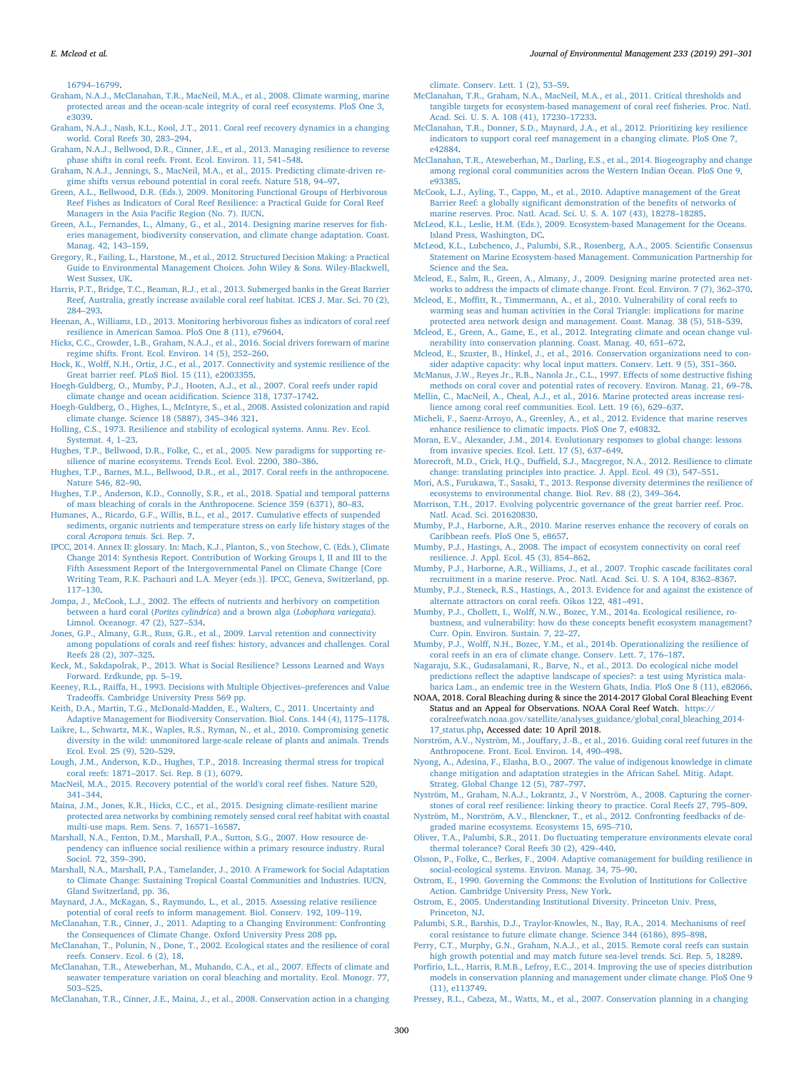[16794–16799.](http://refhub.elsevier.com/S0301-4797(18)31299-4/sref50)

- [Graham, N.A.J., McClanahan, T.R., MacNeil, M.A., et al., 2008. Climate warming, marine](http://refhub.elsevier.com/S0301-4797(18)31299-4/sref51) [protected areas and the ocean-scale integrity of coral reef ecosystems. PloS One 3,](http://refhub.elsevier.com/S0301-4797(18)31299-4/sref51) [e3039](http://refhub.elsevier.com/S0301-4797(18)31299-4/sref51).
- <span id="page-9-15"></span>[Graham, N.A.J., Nash, K.L., Kool, J.T., 2011. Coral reef recovery dynamics in a changing](http://refhub.elsevier.com/S0301-4797(18)31299-4/sref52) [world. Coral Reefs 30, 283–294](http://refhub.elsevier.com/S0301-4797(18)31299-4/sref52).
- <span id="page-9-4"></span>[Graham, N.A.J., Bellwood, D.R., Cinner, J.E., et al., 2013. Managing resilience to reverse](http://refhub.elsevier.com/S0301-4797(18)31299-4/sref53) [phase shifts in coral reefs. Front. Ecol. Environ. 11, 541–548.](http://refhub.elsevier.com/S0301-4797(18)31299-4/sref53)
- <span id="page-9-19"></span>[Graham, N.A.J., Jennings, S., MacNeil, M.A., et al., 2015. Predicting climate-driven re](http://refhub.elsevier.com/S0301-4797(18)31299-4/sref54)[gime shifts versus rebound potential in coral reefs. Nature 518, 94–97.](http://refhub.elsevier.com/S0301-4797(18)31299-4/sref54)
- <span id="page-9-14"></span>[Green, A.L., Bellwood, D.R. \(Eds.\), 2009. Monitoring Functional Groups of Herbivorous](http://refhub.elsevier.com/S0301-4797(18)31299-4/sref55) [Reef Fishes as Indicators of Coral Reef Resilience: a Practical Guide for Coral Reef](http://refhub.elsevier.com/S0301-4797(18)31299-4/sref55) [Managers in the Asia Pacific Region \(No. 7\). IUCN.](http://refhub.elsevier.com/S0301-4797(18)31299-4/sref55)
- [Green, A.L., Fernandes, L., Almany, G., et al., 2014. Designing marine reserves for fish](http://refhub.elsevier.com/S0301-4797(18)31299-4/sref56)[eries management, biodiversity conservation, and climate change adaptation. Coast.](http://refhub.elsevier.com/S0301-4797(18)31299-4/sref56) [Manag. 42, 143–159](http://refhub.elsevier.com/S0301-4797(18)31299-4/sref56).
- [Gregory, R., Failing, L., Harstone, M., et al., 2012. Structured Decision Making: a Practical](http://refhub.elsevier.com/S0301-4797(18)31299-4/sref57) [Guide to Environmental Management Choices. John Wiley & Sons. Wiley-Blackwell,](http://refhub.elsevier.com/S0301-4797(18)31299-4/sref57) [West Sussex, UK](http://refhub.elsevier.com/S0301-4797(18)31299-4/sref57).
- [Harris, P.T., Bridge, T.C., Beaman, R.J., et al., 2013. Submerged banks in the Great Barrier](http://refhub.elsevier.com/S0301-4797(18)31299-4/sref59) [Reef, Australia, greatly increase available coral reef habitat. ICES J. Mar. Sci. 70 \(2\),](http://refhub.elsevier.com/S0301-4797(18)31299-4/sref59) [284–293](http://refhub.elsevier.com/S0301-4797(18)31299-4/sref59).
- [Heenan, A., Williams, I.D., 2013. Monitoring herbivorous fishes as indicators of coral reef](http://refhub.elsevier.com/S0301-4797(18)31299-4/sref60) [resilience in American Samoa. PloS One 8 \(11\), e79604.](http://refhub.elsevier.com/S0301-4797(18)31299-4/sref60)
- <span id="page-9-27"></span>[Hicks, C.C., Crowder, L.B., Graham, N.A.J., et al., 2016. Social drivers forewarn of marine](http://refhub.elsevier.com/S0301-4797(18)31299-4/sref61) [regime shifts. Front. Ecol. Environ. 14 \(5\), 252–260](http://refhub.elsevier.com/S0301-4797(18)31299-4/sref61).
- <span id="page-9-32"></span>[Hock, K., Wolff, N.H., Ortiz, J.C., et al., 2017. Connectivity and systemic resilience of the](http://refhub.elsevier.com/S0301-4797(18)31299-4/sref62) [Great barrier reef. PLoS Biol. 15 \(11\), e2003355.](http://refhub.elsevier.com/S0301-4797(18)31299-4/sref62)
- [Hoegh-Guldberg, O., Mumby, P.J., Hooten, A.J., et al., 2007. Coral reefs under rapid](http://refhub.elsevier.com/S0301-4797(18)31299-4/sref63) [climate change and ocean acidification. Science 318, 1737–1742](http://refhub.elsevier.com/S0301-4797(18)31299-4/sref63).
- <span id="page-9-49"></span>[Hoegh-Guldberg, O., Highes, L., McIntyre, S., et al., 2008. Assisted colonization and rapid](http://refhub.elsevier.com/S0301-4797(18)31299-4/sref64) [climate change. Science 18 \(5887\), 345–346 321](http://refhub.elsevier.com/S0301-4797(18)31299-4/sref64).
- <span id="page-9-1"></span>[Holling, C.S., 1973. Resilience and stability of ecological systems. Annu. Rev. Ecol.](http://refhub.elsevier.com/S0301-4797(18)31299-4/sref65) [Systemat. 4, 1–23](http://refhub.elsevier.com/S0301-4797(18)31299-4/sref65).
- <span id="page-9-2"></span>[Hughes, T.P., Bellwood, D.R., Folke, C., et al., 2005. New paradigms for supporting re](http://refhub.elsevier.com/S0301-4797(18)31299-4/sref66)[silience of marine ecosystems. Trends Ecol. Evol. 2200, 380–386](http://refhub.elsevier.com/S0301-4797(18)31299-4/sref66).
- <span id="page-9-24"></span>[Hughes, T.P., Barnes, M.L., Bellwood, D.R., et al., 2017. Coral reefs in the anthropocene.](http://refhub.elsevier.com/S0301-4797(18)31299-4/sref68) [Nature 546, 82–90](http://refhub.elsevier.com/S0301-4797(18)31299-4/sref68).
- [Hughes, T.P., Anderson, K.D., Connolly, S.R., et al., 2018. Spatial and temporal patterns](http://refhub.elsevier.com/S0301-4797(18)31299-4/sref69) [of mass bleaching of corals in the Anthropocene. Science 359 \(6371\), 80–83.](http://refhub.elsevier.com/S0301-4797(18)31299-4/sref69)
- [Humanes, A., Ricardo, G.F., Willis, B.L., et al., 2017. Cumulative effects of suspended](http://refhub.elsevier.com/S0301-4797(18)31299-4/sref70) [sediments, organic nutrients and temperature stress on early life history stages of the](http://refhub.elsevier.com/S0301-4797(18)31299-4/sref70) coral *[Acropora tenuis](http://refhub.elsevier.com/S0301-4797(18)31299-4/sref70)*. Sci. Rep. 7.
- <span id="page-9-53"></span>[IPCC, 2014. Annex II: glossary. In: Mach, K.J., Planton, S., von Stechow, C. \(Eds.\), Climate](http://refhub.elsevier.com/S0301-4797(18)31299-4/sref71) [Change 2014: Synthesis Report. Contribution of Working Groups I, II and III to the](http://refhub.elsevier.com/S0301-4797(18)31299-4/sref71) [Fifth Assessment Report of the Intergovernmental Panel on Climate Change \[Core](http://refhub.elsevier.com/S0301-4797(18)31299-4/sref71) [Writing Team, R.K. Pachauri and L.A. Meyer \(eds.\)\]. IPCC, Geneva, Switzerland, pp.](http://refhub.elsevier.com/S0301-4797(18)31299-4/sref71) [117–130](http://refhub.elsevier.com/S0301-4797(18)31299-4/sref71).
- <span id="page-9-21"></span>[Jompa, J., McCook, L.J., 2002. The effects of nutrients and herbivory on competition](http://refhub.elsevier.com/S0301-4797(18)31299-4/sref72) [between a hard coral \(](http://refhub.elsevier.com/S0301-4797(18)31299-4/sref72)*Porites cylindrica*) and a brown alga (*Lobophora variegata*). [Limnol. Oceanogr. 47 \(2\), 527–534](http://refhub.elsevier.com/S0301-4797(18)31299-4/sref72).
- <span id="page-9-31"></span>[Jones, G.P., Almany, G.R., Russ, G.R., et al., 2009. Larval retention and connectivity](http://refhub.elsevier.com/S0301-4797(18)31299-4/sref73) [among populations of corals and reef fishes: history, advances and challenges. Coral](http://refhub.elsevier.com/S0301-4797(18)31299-4/sref73) [Reefs 28 \(2\), 307–325.](http://refhub.elsevier.com/S0301-4797(18)31299-4/sref73)
- <span id="page-9-3"></span>[Keck, M., Sakdapolrak, P., 2013. What is Social Resilience? Lessons Learned and Ways](http://refhub.elsevier.com/S0301-4797(18)31299-4/sref74) [Forward. Erdkunde, pp. 5–19](http://refhub.elsevier.com/S0301-4797(18)31299-4/sref74).
- <span id="page-9-44"></span>[Keeney, R.L., Raiffa, H., 1993. Decisions with Multiple Objectives–preferences and Value](http://refhub.elsevier.com/S0301-4797(18)31299-4/sref75) [Tradeoffs. Cambridge University Press 569 pp.](http://refhub.elsevier.com/S0301-4797(18)31299-4/sref75)
- <span id="page-9-41"></span>[Keith, D.A., Martin, T.G., McDonald-Madden, E., Walters, C., 2011. Uncertainty and](http://refhub.elsevier.com/S0301-4797(18)31299-4/sref76) [Adaptive Management for Biodiversity Conservation. Biol. Cons. 144 \(4\), 1175–1178.](http://refhub.elsevier.com/S0301-4797(18)31299-4/sref76)
- <span id="page-9-52"></span>[Laikre, L., Schwartz, M.K., Waples, R.S., Ryman, N., et al., 2010. Compromising genetic](http://refhub.elsevier.com/S0301-4797(18)31299-4/sref77) [diversity in the wild: unmonitored large-scale release of plants and animals. Trends](http://refhub.elsevier.com/S0301-4797(18)31299-4/sref77) [Ecol. Evol. 25 \(9\), 520–529](http://refhub.elsevier.com/S0301-4797(18)31299-4/sref77).
- <span id="page-9-50"></span>[Lough, J.M., Anderson, K.D., Hughes, T.P., 2018. Increasing thermal stress for tropical](http://refhub.elsevier.com/S0301-4797(18)31299-4/sref78) [coral reefs: 1871–2017. Sci. Rep. 8 \(1\), 6079](http://refhub.elsevier.com/S0301-4797(18)31299-4/sref78).
- <span id="page-9-39"></span>[MacNeil, M.A., 2015. Recovery potential of the world's coral reef fishes. Nature 520,](http://refhub.elsevier.com/S0301-4797(18)31299-4/sref79) [341–344](http://refhub.elsevier.com/S0301-4797(18)31299-4/sref79).
- <span id="page-9-42"></span>[Maina, J.M., Jones, K.R., Hicks, C.C., et al., 2015. Designing climate-resilient marine](http://refhub.elsevier.com/S0301-4797(18)31299-4/sref80) [protected area networks by combining remotely sensed coral reef habitat with coastal](http://refhub.elsevier.com/S0301-4797(18)31299-4/sref80) [multi-use maps. Rem. Sens. 7, 16571–16587](http://refhub.elsevier.com/S0301-4797(18)31299-4/sref80).
- <span id="page-9-54"></span>[Marshall, N.A., Fenton, D.M., Marshall, P.A., Sutton, S.G., 2007. How resource de](http://refhub.elsevier.com/S0301-4797(18)31299-4/sref81)[pendency can influence social resilience within a primary resource industry. Rural](http://refhub.elsevier.com/S0301-4797(18)31299-4/sref81) [Sociol. 72, 359–390](http://refhub.elsevier.com/S0301-4797(18)31299-4/sref81).
- <span id="page-9-55"></span>[Marshall, N.A., Marshall, P.A., Tamelander, J., 2010. A Framework for Social Adaptation](http://refhub.elsevier.com/S0301-4797(18)31299-4/sref82) [to Climate Change: Sustaining Tropical Coastal Communities and Industries. IUCN,](http://refhub.elsevier.com/S0301-4797(18)31299-4/sref82) [Gland Switzerland, pp. 36.](http://refhub.elsevier.com/S0301-4797(18)31299-4/sref82)
- <span id="page-9-43"></span>[Maynard, J.A., McKagan, S., Raymundo, L., et al., 2015. Assessing relative resilience](http://refhub.elsevier.com/S0301-4797(18)31299-4/sref83) [potential of coral reefs to inform management. Biol. Conserv. 192, 109–119](http://refhub.elsevier.com/S0301-4797(18)31299-4/sref83).
- <span id="page-9-34"></span>[McClanahan, T.R., Cinner, J., 2011. Adapting to a Changing Environment: Confronting](http://refhub.elsevier.com/S0301-4797(18)31299-4/sref85) [the Consequences of Climate Change. Oxford University Press 208 pp.](http://refhub.elsevier.com/S0301-4797(18)31299-4/sref85)
- <span id="page-9-13"></span>[McClanahan, T., Polunin, N., Done, T., 2002. Ecological states and the resilience of coral](http://refhub.elsevier.com/S0301-4797(18)31299-4/sref86) [reefs. Conserv. Ecol. 6 \(2\), 18](http://refhub.elsevier.com/S0301-4797(18)31299-4/sref86).
- <span id="page-9-36"></span>[McClanahan, T.R., Ateweberhan, M., Muhando, C.A., et al., 2007. Effects of climate and](http://refhub.elsevier.com/S0301-4797(18)31299-4/sref87) [seawater temperature variation on coral bleaching and mortality. Ecol. Monogr. 77,](http://refhub.elsevier.com/S0301-4797(18)31299-4/sref87) [503–525](http://refhub.elsevier.com/S0301-4797(18)31299-4/sref87).

<span id="page-9-10"></span>[McClanahan, T.R., Cinner, J.E., Maina, J., et al., 2008. Conservation action in a changing](http://refhub.elsevier.com/S0301-4797(18)31299-4/sref88)

[climate. Conserv. Lett. 1 \(2\), 53–59](http://refhub.elsevier.com/S0301-4797(18)31299-4/sref88).

- <span id="page-9-48"></span>[McClanahan, T.R., Graham, N.A., MacNeil, M.A., et al., 2011. Critical thresholds and](http://refhub.elsevier.com/S0301-4797(18)31299-4/sref89) [tangible targets for ecosystem-based management of coral reef fisheries. Proc. Natl.](http://refhub.elsevier.com/S0301-4797(18)31299-4/sref89) [Acad. Sci. U. S. A. 108 \(41\), 17230–17233](http://refhub.elsevier.com/S0301-4797(18)31299-4/sref89).
- <span id="page-9-11"></span>[McClanahan, T.R., Donner, S.D., Maynard, J.A., et al., 2012. Prioritizing key resilience](http://refhub.elsevier.com/S0301-4797(18)31299-4/sref90) [indicators to support coral reef management in a changing climate. PloS One 7,](http://refhub.elsevier.com/S0301-4797(18)31299-4/sref90) [e42884.](http://refhub.elsevier.com/S0301-4797(18)31299-4/sref90)
- <span id="page-9-18"></span>[McClanahan, T.R., Ateweberhan, M., Darling, E.S., et al., 2014. Biogeography and change](http://refhub.elsevier.com/S0301-4797(18)31299-4/sref91) [among regional coral communities across the Western Indian Ocean. PloS One 9,](http://refhub.elsevier.com/S0301-4797(18)31299-4/sref91) [e93385.](http://refhub.elsevier.com/S0301-4797(18)31299-4/sref91)
- <span id="page-9-40"></span>[McCook, L.J., Ayling, T., Cappo, M., et al., 2010. Adaptive management of the Great](http://refhub.elsevier.com/S0301-4797(18)31299-4/sref92) [Barrier Reef: a globally significant demonstration of the benefits of networks of](http://refhub.elsevier.com/S0301-4797(18)31299-4/sref92) [marine reserves. Proc. Natl. Acad. Sci. U. S. A. 107 \(43\), 18278–18285](http://refhub.elsevier.com/S0301-4797(18)31299-4/sref92).
- <span id="page-9-7"></span>[McLeod, K.L., Leslie, H.M. \(Eds.\), 2009. Ecosystem-based Management for the Oceans.](http://refhub.elsevier.com/S0301-4797(18)31299-4/sref93) [Island Press, Washington, DC.](http://refhub.elsevier.com/S0301-4797(18)31299-4/sref93)
- <span id="page-9-6"></span>[McLeod, K.L., Lubchenco, J., Palumbi, S.R., Rosenberg, A.A., 2005. Scientific Consensus](http://refhub.elsevier.com/S0301-4797(18)31299-4/sref94) [Statement on Marine Ecosystem-based Management. Communication Partnership for](http://refhub.elsevier.com/S0301-4797(18)31299-4/sref94) [Science and the Sea](http://refhub.elsevier.com/S0301-4797(18)31299-4/sref94).
- <span id="page-9-33"></span>[Mcleod, E., Salm, R., Green, A., Almany, J., 2009. Designing marine protected area net](http://refhub.elsevier.com/S0301-4797(18)31299-4/sref95)[works to address the impacts of climate change. Front. Ecol. Environ. 7 \(7\), 362–370.](http://refhub.elsevier.com/S0301-4797(18)31299-4/sref95)
- <span id="page-9-38"></span>[Mcleod, E., Moffitt, R., Timmermann, A., et al., 2010. Vulnerability of coral reefs to](http://refhub.elsevier.com/S0301-4797(18)31299-4/sref96) [warming seas and human activities in the Coral Triangle: implications for marine](http://refhub.elsevier.com/S0301-4797(18)31299-4/sref96)
- [protected area network design and management. Coast. Manag. 38 \(5\), 518–539.](http://refhub.elsevier.com/S0301-4797(18)31299-4/sref96) [Mcleod, E., Green, A., Game, E., et al., 2012. Integrating climate and ocean change vul](http://refhub.elsevier.com/S0301-4797(18)31299-4/sref97)[nerability into conservation planning. Coast. Manag. 40, 651–672](http://refhub.elsevier.com/S0301-4797(18)31299-4/sref97).
- <span id="page-9-56"></span>[Mcleod, E., Szuster, B., Hinkel, J., et al., 2016. Conservation organizations need to con](http://refhub.elsevier.com/S0301-4797(18)31299-4/sref98)[sider adaptive capacity: why local input matters. Conserv. Lett. 9 \(5\), 351–360.](http://refhub.elsevier.com/S0301-4797(18)31299-4/sref98)
- <span id="page-9-20"></span>[McManus, J.W., Reyes Jr., R.B., Nanola Jr., C.L., 1997. Effects of some destructive fishing](http://refhub.elsevier.com/S0301-4797(18)31299-4/sref99) [methods on coral cover and potential rates of recovery. Environ. Manag. 21, 69–78.](http://refhub.elsevier.com/S0301-4797(18)31299-4/sref99) [Mellin, C., MacNeil, A., Cheal, A.J., et al., 2016. Marine protected areas increase resi-](http://refhub.elsevier.com/S0301-4797(18)31299-4/sref100)

<span id="page-9-22"></span>[lience among coral reef communities. Ecol. Lett. 19 \(6\), 629–637.](http://refhub.elsevier.com/S0301-4797(18)31299-4/sref100)

- <span id="page-9-16"></span>[Micheli, F., Saenz-Arroyo, A., Greenley, A., et al., 2012. Evidence that marine reserves](http://refhub.elsevier.com/S0301-4797(18)31299-4/sref101) [enhance resilience to climatic impacts. PloS One 7, e40832.](http://refhub.elsevier.com/S0301-4797(18)31299-4/sref101)
- [Moran, E.V., Alexander, J.M., 2014. Evolutionary responses to global change: lessons](http://refhub.elsevier.com/S0301-4797(18)31299-4/sref103) [from invasive species. Ecol. Lett. 17 \(5\), 637–649](http://refhub.elsevier.com/S0301-4797(18)31299-4/sref103).
- <span id="page-9-9"></span>[Morecroft, M.D., Crick, H.Q., Duffield, S.J., Macgregor, N.A., 2012. Resilience to climate](http://refhub.elsevier.com/S0301-4797(18)31299-4/sref104) [change: translating principles into practice. J. Appl. Ecol. 49 \(3\), 547–551.](http://refhub.elsevier.com/S0301-4797(18)31299-4/sref104)
- <span id="page-9-30"></span>[Mori, A.S., Furukawa, T., Sasaki, T., 2013. Response diversity determines the resilience of](http://refhub.elsevier.com/S0301-4797(18)31299-4/sref105) [ecosystems to environmental change. Biol. Rev. 88 \(2\), 349–364.](http://refhub.elsevier.com/S0301-4797(18)31299-4/sref105)
- <span id="page-9-35"></span>[Morrison, T.H., 2017. Evolving polycentric governance of the great barrier reef. Proc.](http://refhub.elsevier.com/S0301-4797(18)31299-4/sref106) [Natl. Acad. Sci. 201620830.](http://refhub.elsevier.com/S0301-4797(18)31299-4/sref106)
- <span id="page-9-12"></span>[Mumby, P.J., Harborne, A.R., 2010. Marine reserves enhance the recovery of corals on](http://refhub.elsevier.com/S0301-4797(18)31299-4/sref107)
- <span id="page-9-25"></span>[Caribbean reefs. PloS One 5, e8657.](http://refhub.elsevier.com/S0301-4797(18)31299-4/sref107) [Mumby, P.J., Hastings, A., 2008. The impact of ecosystem connectivity on coral reef](http://refhub.elsevier.com/S0301-4797(18)31299-4/sref108) [resilience. J. Appl. Ecol. 45 \(3\), 854–862.](http://refhub.elsevier.com/S0301-4797(18)31299-4/sref108)
- <span id="page-9-23"></span>[Mumby, P.J., Harborne, A.R., Williams, J., et al., 2007. Trophic cascade facilitates coral](http://refhub.elsevier.com/S0301-4797(18)31299-4/sref109) [recruitment in a marine reserve. Proc. Natl. Acad. Sci. U. S. A 104, 8362–8367](http://refhub.elsevier.com/S0301-4797(18)31299-4/sref109).
- <span id="page-9-47"></span>[Mumby, P.J., Steneck, R.S., Hastings, A., 2013. Evidence for and against the existence of](http://refhub.elsevier.com/S0301-4797(18)31299-4/sref110) [alternate attractors on coral reefs. Oikos 122, 481–491](http://refhub.elsevier.com/S0301-4797(18)31299-4/sref110).
- <span id="page-9-5"></span>[Mumby, P.J., Chollett, I., Wolff, N.W., Bozec, Y.M., 2014a. Ecological resilience, ro](http://refhub.elsevier.com/S0301-4797(18)31299-4/sref111)[bustness, and vulnerability: how do these concepts benefit ecosystem management?](http://refhub.elsevier.com/S0301-4797(18)31299-4/sref111) [Curr. Opin. Environ. Sustain. 7, 22–27](http://refhub.elsevier.com/S0301-4797(18)31299-4/sref111).
- [Mumby, P.J., Wolff, N.H., Bozec, Y.M., et al., 2014b. Operationalizing the resilience of](http://refhub.elsevier.com/S0301-4797(18)31299-4/sref112) [coral reefs in an era of climate change. Conserv. Lett. 7, 176–187.](http://refhub.elsevier.com/S0301-4797(18)31299-4/sref112)

<span id="page-9-51"></span>[Nagaraju, S.K., Gudasalamani, R., Barve, N., et al., 2013. Do ecological niche model](http://refhub.elsevier.com/S0301-4797(18)31299-4/sref113) [predictions reflect the adaptive landscape of species?: a test using Myristica mala](http://refhub.elsevier.com/S0301-4797(18)31299-4/sref113)[barica Lam., an endemic tree in the Western Ghats, India. PloS One 8 \(11\), e82066.](http://refhub.elsevier.com/S0301-4797(18)31299-4/sref113)

- <span id="page-9-0"></span>NOAA, 2018. Coral Bleaching during & since the 2014-2017 Global Coral Bleaching Event Status and an Appeal for Observations. NOAA Coral Reef Watch. [https://](https://coralreefwatch.noaa.gov/satellite/analyses_guidance/global_coral_bleaching_2014-17_status.php) [coralreefwatch.noaa.gov/satellite/analyses\\_guidance/global\\_coral\\_bleaching\\_2014-](https://coralreefwatch.noaa.gov/satellite/analyses_guidance/global_coral_bleaching_2014-17_status.php) [17\\_status.php,](https://coralreefwatch.noaa.gov/satellite/analyses_guidance/global_coral_bleaching_2014-17_status.php) Accessed date: 10 April 2018.
- <span id="page-9-46"></span>[Norström, A.V., Nyström, M., Jouffary, J.-B., et al., 2016. Guiding coral reef futures in the](http://refhub.elsevier.com/S0301-4797(18)31299-4/sref115) [Anthropocene. Front. Ecol. Environ. 14, 490–498](http://refhub.elsevier.com/S0301-4797(18)31299-4/sref115).
- [Nyong, A., Adesina, F., Elasha, B.O., 2007. The value of indigenous knowledge in climate](http://refhub.elsevier.com/S0301-4797(18)31299-4/sref116) [change mitigation and adaptation strategies in the African Sahel. Mitig. Adapt.](http://refhub.elsevier.com/S0301-4797(18)31299-4/sref116) [Strateg. Global Change 12 \(5\), 787–797](http://refhub.elsevier.com/S0301-4797(18)31299-4/sref116).
- <span id="page-9-8"></span>[Nyström, M., Graham, N.A.J., Lokrantz, J., V Norström, A., 2008. Capturing the corner](http://refhub.elsevier.com/S0301-4797(18)31299-4/sref118)[stones of coral reef resilience: linking theory to practice. Coral Reefs 27, 795–809](http://refhub.elsevier.com/S0301-4797(18)31299-4/sref118).

<span id="page-9-58"></span>[Nyström, M., Norström, A.V., Blenckner, T., et al., 2012. Confronting feedbacks of de](http://refhub.elsevier.com/S0301-4797(18)31299-4/sref119)[graded marine ecosystems. Ecosystems 15, 695–710.](http://refhub.elsevier.com/S0301-4797(18)31299-4/sref119)

- <span id="page-9-37"></span>[Oliver, T.A., Palumbi, S.R., 2011. Do fluctuating temperature environments elevate coral](http://refhub.elsevier.com/S0301-4797(18)31299-4/sref120) [thermal tolerance? Coral Reefs 30 \(2\), 429–440.](http://refhub.elsevier.com/S0301-4797(18)31299-4/sref120)
- <span id="page-9-29"></span>[Olsson, P., Folke, C., Berkes, F., 2004. Adaptive comanagement for building resilience in](http://refhub.elsevier.com/S0301-4797(18)31299-4/sref121) [social-ecological systems. Environ. Manag. 34, 75–90](http://refhub.elsevier.com/S0301-4797(18)31299-4/sref121).
- <span id="page-9-26"></span>[Ostrom, E., 1990. Governing the Commons: the Evolution of Institutions for Collective](http://refhub.elsevier.com/S0301-4797(18)31299-4/sref122) [Action. Cambridge University Press, New York](http://refhub.elsevier.com/S0301-4797(18)31299-4/sref122).
- <span id="page-9-57"></span>[Ostrom, E., 2005. Understanding Institutional Diversity. Princeton Univ. Press,](http://refhub.elsevier.com/S0301-4797(18)31299-4/sref123) [Princeton, NJ](http://refhub.elsevier.com/S0301-4797(18)31299-4/sref123).
- <span id="page-9-28"></span>[Palumbi, S.R., Barshis, D.J., Traylor-Knowles, N., Bay, R.A., 2014. Mechanisms of reef](http://refhub.elsevier.com/S0301-4797(18)31299-4/sref124) [coral resistance to future climate change. Science 344 \(6186\), 895–898](http://refhub.elsevier.com/S0301-4797(18)31299-4/sref124).
- [Perry, C.T., Murphy, G.N., Graham, N.A.J., et al., 2015. Remote coral reefs can sustain](http://refhub.elsevier.com/S0301-4797(18)31299-4/sref125) [high growth potential and may match future sea-level trends. Sci. Rep. 5, 18289.](http://refhub.elsevier.com/S0301-4797(18)31299-4/sref125)

<span id="page-9-17"></span>[Porfirio, L.L., Harris, R.M.B., Lefroy, E.C., 2014. Improving the use of species distribution](http://refhub.elsevier.com/S0301-4797(18)31299-4/sref126) [models in conservation planning and management under climate change. PloS One 9](http://refhub.elsevier.com/S0301-4797(18)31299-4/sref126) [\(11\), e113749](http://refhub.elsevier.com/S0301-4797(18)31299-4/sref126).

<span id="page-9-45"></span>[Pressey, R.L., Cabeza, M., Watts, M., et al., 2007. Conservation planning in a changing](http://refhub.elsevier.com/S0301-4797(18)31299-4/sref127)